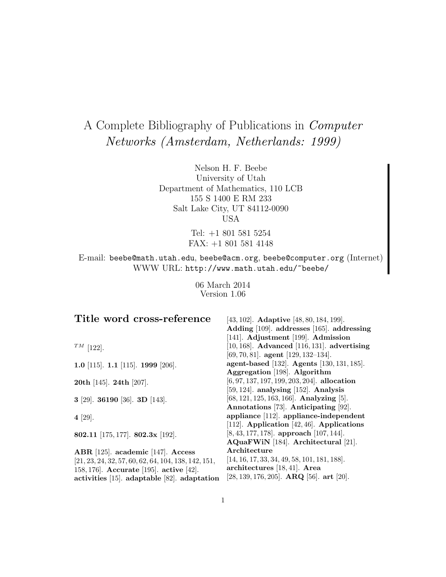# A Complete Bibliography of Publications in Computer Networks (Amsterdam, Netherlands: 1999)

Nelson H. F. Beebe University of Utah Department of Mathematics, 110 LCB 155 S 1400 E RM 233 Salt Lake City, UT 84112-0090 USA

> Tel: +1 801 581 5254 FAX: +1 801 581 4148

E-mail: beebe@math.utah.edu, beebe@acm.org, beebe@computer.org (Internet) WWW URL: http://www.math.utah.edu/~beebe/

> 06 March 2014 Version 1.06

| Title word cross-reference                             | [43, 102]. <b>Adaptive</b> [48, 80, 184, 199].    |
|--------------------------------------------------------|---------------------------------------------------|
|                                                        | Adding [109]. addresses [165]. addressing         |
|                                                        | $[141]$ . Adjustment $[199]$ . Admission          |
| $^{TM}$ [122].                                         | $[10, 168]$ . Advanced $[116, 131]$ . advertising |
|                                                        | [69, 70, 81]. agent [129, 132-134].               |
| 1.0 [115]. 1.1 [115]. 1999 [206].                      | agent-based [132]. Agents [130, 131, 185].        |
|                                                        | Aggregation [198]. Algorithm                      |
| <b>20th</b> [145]. <b>24th</b> [207].                  | $[6, 97, 137, 197, 199, 203, 204]$ . allocation   |
|                                                        | [59, 124]. analysing $[152]$ . Analysis           |
| 3 [29]. 36190 [36]. 3D [143].                          | [68, 121, 125, 163, 166]. Analyzing [5].          |
|                                                        | Annotations [73]. Anticipating [92].              |
| 4 [29].                                                | appliance [112]. appliance-independent            |
|                                                        | [112]. Application [42, 46]. Applications         |
| 802.11 [175, 177]. 802.3x [192].                       | $[8, 43, 177, 178]$ . approach $[107, 144]$ .     |
|                                                        | AQuaFWiN [184]. Architectural [21].               |
| ABR [125]. academic [147]. Access                      | Architecture                                      |
| $[21, 23, 24, 32, 57, 60, 62, 64, 104, 138, 142, 151,$ | $[14, 16, 17, 33, 34, 49, 58, 101, 181, 188].$    |
| 158, 176. Accurate [195]. active [42].                 | architectures $[18, 41]$ . Area                   |
| activities [15]. adaptable [82]. adaptation            | [28, 139, 176, 205]. ARQ [56]. art [20].          |
|                                                        |                                                   |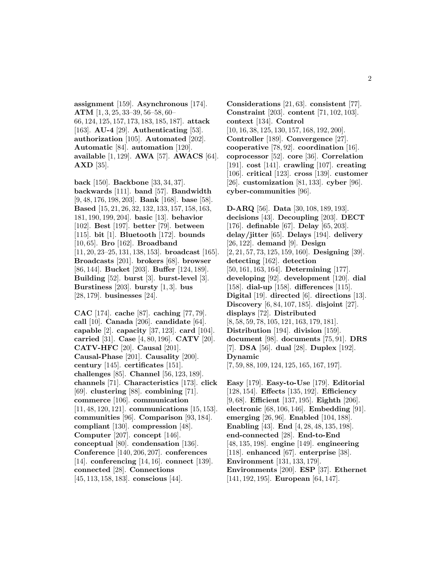**assignment** [159]. **Asynchronous** [174]. **ATM** [1, 3, 25, 33–39, 56–58, 60– 66, 124, 125, 157, 173, 183, 185, 187]. **attack** [163]. **AU-4** [29]. **Authenticating** [53]. **authorization** [105]. **Automated** [202]. **Automatic** [84]. **automation** [120]. **available** [1, 129]. **AWA** [57]. **AWACS** [64]. **AXD** [35].

**back** [150]. **Backbone** [33, 34, 37]. **backwards** [111]. **band** [57]. **Bandwidth** [9, 48, 176, 198, 203]. **Bank** [168]. **base** [58]. **Based** [15, 21, 26, 32, 132, 133, 157, 158, 163, 181, 190, 199, 204]. **basic** [13]. **behavior** [102]. **Best** [197]. **better** [79]. **between** [115]. **bit** [1]. **Bluetooth** [172]. **bounds** [10, 65]. **Bro** [162]. **Broadband** [11, 20, 23–25, 131, 138, 153]. **broadcast** [165]. **Broadcasts** [201]. **brokers** [68]. **browser** [86, 144]. **Bucket** [203]. **Buffer** [124, 189]. **Building** [52]. **burst** [3]. **burst-level** [3]. **Burstiness** [203]. **bursty** [1, 3]. **bus** [28, 179]. **businesses** [24].

**CAC** [174]. **cache** [87]. **caching** [77, 79]. **call** [10]. **Canada** [206]. **candidate** [64]. **capable** [2]. **capacity** [37, 123]. **card** [104]. **carried** [31]. **Case** [4, 80, 196]. **CATV** [20]. **CATV-HFC** [20]. **Causal** [201]. **Causal-Phase** [201]. **Causality** [200]. **century** [145]. **certificates** [151]. **challenges** [85]. **Channel** [56, 123, 189]. **channels** [71]. **Characteristics** [173]. **click** [69]. **clustering** [88]. **combining** [71]. **commerce** [106]. **communication** [11, 48, 120, 121]. **communications** [15, 153]. **communities** [96]. **Comparison** [93, 184]. **compliant** [130]. **compression** [48]. **Computer** [207]. **concept** [146]. **conceptual** [80]. **condensation** [136]. **Conference** [140, 206, 207]. **conferences** [14]. **conferencing** [14, 16]. **connect** [139]. **connected** [28]. **Connections** [45, 113, 158, 183]. **conscious** [44].

**Considerations** [21, 63]. **consistent** [77]. **Constraint** [203]. **content** [71, 102, 103]. **context** [134]. **Control** [10, 16, 38, 125, 130, 157, 168, 192, 200]. **Controller** [189]. **Convergence** [27]. **cooperative** [78, 92]. **coordination** [16]. **coprocessor** [52]. **core** [36]. **Correlation** [191]. **cost** [141]. **crawling** [107]. **creating** [106]. **critical** [123]. **cross** [139]. **customer** [26]. **customization** [81, 133]. **cyber** [96]. **cyber-communities** [96].

**D-ARQ** [56]. **Data** [30, 108, 189, 193]. **decisions** [43]. **Decoupling** [203]. **DECT** [176]. **definable** [67]. **Delay** [65, 203]. **delay/jitter** [65]. **Delays** [194]. **delivery** [26, 122]. **demand** [9]. **Design** [2, 21, 57, 73, 125, 159, 160]. **Designing** [39]. **detecting** [162]. **detection** [50, 161, 163, 164]. **Determining** [177]. **developing** [92]. **development** [120]. **dial** [158]. **dial-up** [158]. **differences** [115]. **Digital** [19]. **directed** [6]. **directions** [13]. **Discovery** [6, 84, 107, 185]. **disjoint** [27]. **displays** [72]. **Distributed** [8, 58, 59, 78, 105, 121, 163, 179, 181]. **Distribution** [194]. **division** [159]. **document** [98]. **documents** [75, 91]. **DRS** [7]. **DSA** [56]. **dual** [28]. **Duplex** [192]. **Dynamic** [7, 59, 88, 109, 124, 125, 165, 167, 197].

**Easy** [179]. **Easy-to-Use** [179]. **Editorial** [128, 154]. **Effects** [135, 192]. **Efficiency** [9, 68]. **Efficient** [137, 195]. **Eighth** [206]. **electronic** [68, 106, 146]. **Embedding** [91]. **emerging** [26, 96]. **Enabled** [104, 188]. **Enabling** [43]. **End** [4, 28, 48, 135, 198]. **end-connected** [28]. **End-to-End** [48, 135, 198]. **engine** [149]. **engineering** [118]. **enhanced** [67]. **enterprise** [38]. **Environment** [131, 133, 179]. **Environments** [200]. **ESP** [37]. **Ethernet** [141, 192, 195]. **European** [64, 147].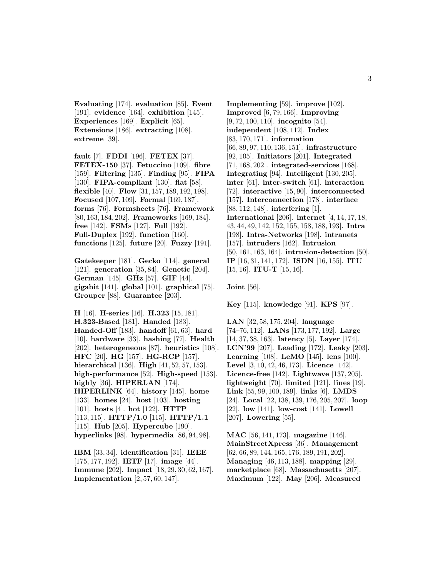**Evaluating** [174]. **evaluation** [85]. **Event** [191]. **evidence** [164]. **exhibition** [145]. **Experiences** [169]. **Explicit** [65]. **Extensions** [186]. **extracting** [108]. **extreme** [39].

**fault** [7]. **FDDI** [196]. **FETEX** [37]. **FETEX-150** [37]. **Fetuccino** [109]. **fibre** [159]. **Filtering** [135]. **Finding** [95]. **FIPA** [130]. **FIPA-compliant** [130]. **flat** [58]. **flexible** [40]. **Flow** [31, 157, 189, 192, 198]. **Focused** [107, 109]. **Formal** [169, 187]. **forms** [76]. **Formsheets** [76]. **Framework** [80, 163, 184, 202]. **Frameworks** [169, 184]. **free** [142]. **FSMs** [127]. **Full** [192]. **Full-Duplex** [192]. **function** [160]. **functions** [125]. **future** [20]. **Fuzzy** [191].

**Gatekeeper** [181]. **Gecko** [114]. **general** [121]. **generation** [35, 84]. **Genetic** [204]. **German** [145]. **GHz** [57]. **GIF** [44]. **gigabit** [141]. **global** [101]. **graphical** [75]. **Grouper** [88]. **Guarantee** [203].

**H** [16]. **H-series** [16]. **H.323** [15, 181]. **H.323-Based** [181]. **Handed** [183]. **Handed-Off** [183]. **handoff** [61, 63]. **hard** [10]. **hardware** [33]. **hashing** [77]. **Health** [202]. **heterogeneous** [87]. **heuristics** [108]. **HFC** [20]. **HG** [157]. **HG-RCP** [157]. **hierarchical** [136]. **High** [41, 52, 57, 153]. **high-performance** [52]. **High-speed** [153]. **highly** [36]. **HIPERLAN** [174]. **HIPERLINK** [64]. **history** [145]. **home** [133]. **homes** [24]. **host** [103]. **hosting** [101]. **hosts** [4]. **hot** [122]. **HTTP** [113, 115]. **HTTP/1.0** [115]. **HTTP/1.1** [115]. **Hub** [205]. **Hypercube** [190]. **hyperlinks** [98]. **hypermedia** [86, 94, 98].

**IBM** [33, 34]. **identification** [31]. **IEEE** [175, 177, 192]. **IETF** [17]. **image** [44]. **Immune** [202]. **Impact** [18, 29, 30, 62, 167]. **Implementation** [2, 57, 60, 147].

**Implementing** [59]. **improve** [102]. **Improved** [6, 79, 166]. **Improving** [9, 72, 100, 110]. **incognito** [54]. **independent** [108, 112]. **Index** [83, 170, 171]. **information** [66, 89, 97, 110, 136, 151]. **infrastructure** [92, 105]. **Initiators** [201]. **Integrated** [71, 168, 202]. **integrated-services** [168]. **Integrating** [94]. **Intelligent** [130, 205]. **inter** [61]. **inter-switch** [61]. **interaction** [72]. **interactive** [15, 90]. **interconnected** [157]. **Interconnection** [178]. **interface** [88, 112, 148]. **interfering** [1]. **International** [206]. **internet** [4, 14, 17, 18, 43, 44, 49, 142, 152, 155, 158, 188, 193]. **Intra** [198]. **Intra-Networks** [198]. **intranets** [157]. **intruders** [162]. **Intrusion** [50, 161, 163, 164]. **intrusion-detection** [50]. **IP** [16, 31, 141, 172]. **ISDN** [16, 155]. **ITU** [15, 16]. **ITU-T** [15, 16].

**Joint** [56].

**Key** [115]. **knowledge** [91]. **KPS** [97].

**LAN** [32, 58, 175, 204]. **language** [74–76, 112]. **LANs** [173, 177, 192]. **Large** [14, 37, 38, 163]. **latency** [5]. **Layer** [174]. **LCN'99** [207]. **Leading** [172]. **Leaky** [203]. **Learning** [108]. **LeMO** [145]. **lens** [100]. **Level** [3, 10, 42, 46, 173]. **Licence** [142]. **Licence-free** [142]. **Lightwave** [137, 205]. **lightweight** [70]. **limited** [121]. **lines** [19]. **Link** [55, 99, 100, 189]. **links** [6]. **LMDS** [24]. **Local** [22, 138, 139, 176, 205, 207]. **loop** [22]. **low** [141]. **low-cost** [141]. **Lowell** [207]. **Lowering** [55].

**MAC** [56, 141, 173]. **magazine** [146]. **MainStreetXpress** [36]. **Management** [62, 66, 89, 144, 165, 176, 189, 191, 202]. **Managing** [46, 113, 188]. **mapping** [29]. **marketplace** [68]. **Massachusetts** [207]. **Maximum** [122]. **May** [206]. **Measured**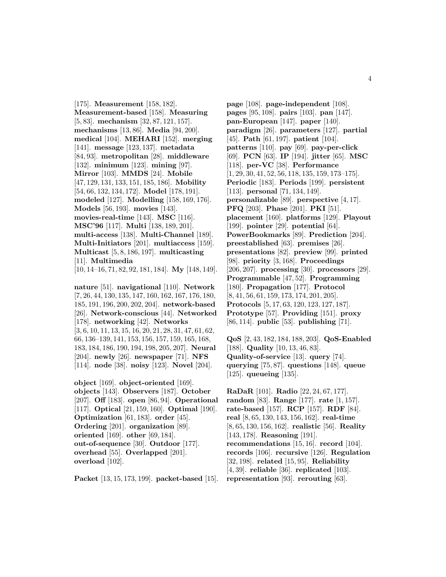[175]. **Measurement** [158, 182]. **Measurement-based** [158]. **Measuring** [5, 83]. **mechanism** [32, 87, 121, 157]. **mechanisms** [13, 86]. **Media** [94, 200]. **medical** [104]. **MEHARI** [152]. **merging** [141]. **message** [123, 137]. **metadata** [84, 93]. **metropolitan** [28]. **middleware** [132]. **minimum** [123]. **mining** [97]. **Mirror** [103]. **MMDS** [24]. **Mobile** [47, 129, 131, 133, 151, 185, 186]. **Mobility** [54, 66, 132, 134, 172]. **Model** [178, 191]. **modeled** [127]. **Modelling** [158, 169, 176]. **Models** [56, 193]. **movies** [143]. **movies-real-time** [143]. **MSC** [116]. **MSC'96** [117]. **Multi** [138, 189, 201]. **multi-access** [138]. **Multi-Channel** [189]. **Multi-Initiators** [201]. **multiaccess** [159]. **Multicast** [5, 8, 186, 197]. **multicasting** [11]. **Multimedia** [10, 14–16, 71, 82, 92, 181, 184]. **My** [148, 149].

**nature** [51]. **navigational** [110]. **Network** [7, 26, 44, 130, 135, 147, 160, 162, 167, 176, 180, 185, 191, 196, 200, 202, 204]. **network-based** [26]. **Network-conscious** [44]. **Networked** [178]. **networking** [42]. **Networks** [3, 6, 10, 11, 13, 15, 16, 20, 21, 28, 31, 47, 61, 62, 66, 136–139, 141, 153, 156, 157, 159, 165, 168, 183, 184, 186, 190, 194, 198, 205, 207]. **Neural** [204]. **newly** [26]. **newspaper** [71]. **NFS** [114]. **node** [38]. **noisy** [123]. **Novel** [204].

**object** [169]. **object-oriented** [169]. **objects** [143]. **Observers** [187]. **October** [207]. **Off** [183]. **open** [86, 94]. **Operational** [117]. **Optical** [21, 159, 160]. **Optimal** [190]. **Optimization** [61, 183]. **order** [45]. **Ordering** [201]. **organization** [89]. **oriented** [169]. **other** [69, 184]. **out-of-sequence** [30]. **Outdoor** [177]. **overhead** [55]. **Overlapped** [201]. **overload** [102].

**Packet** [13, 15, 173, 199]. **packet-based** [15].

**page** [108]. **page-independent** [108]. **pages** [95, 108]. **pairs** [103]. **pan** [147]. **pan-European** [147]. **paper** [140]. **paradigm** [26]. **parameters** [127]. **partial** [45]. **Path** [61, 197]. **patient** [104]. **patterns** [110]. **pay** [69]. **pay-per-click** [69]. **PCN** [63]. **IP** [194]. **jitter** [65]. **MSC** [118]. **per-VC** [38]. **Performance** [1, 29, 30, 41, 52, 56, 118, 135, 159, 173–175]. **Periodic** [183]. **Periods** [199]. **persistent** [113]. **personal** [71, 134, 149]. **personalizable** [89]. **perspective** [4, 17]. **PFQ** [203]. **Phase** [201]. **PKI** [51]. **placement** [160]. **platforms** [129]. **Playout** [199]. **pointer** [29]. **potential** [64]. **PowerBookmarks** [89]. **Prediction** [204]. **preestablished** [63]. **premises** [26]. **presentations** [82]. **preview** [99]. **printed** [98]. **priority** [3, 168]. **Proceedings** [206, 207]. **processing** [30]. **processors** [29]. **Programmable** [47, 52]. **Programming** [180]. **Propagation** [177]. **Protocol** [8, 41, 56, 61, 159, 173, 174, 201, 205]. **Protocols** [5, 17, 63, 120, 123, 127, 187]. **Prototype** [57]. **Providing** [151]. **proxy** [86, 114]. **public** [53]. **publishing** [71].

**QoS** [2, 43, 182, 184, 188, 203]. **QoS-Enabled** [188]. **Quality** [10, 13, 46, 83]. **Quality-of-service** [13]. **query** [74]. **querying** [75, 87]. **questions** [148]. **queue** [125]. **queueing** [135].

**RaDaR** [101]. **Radio** [22, 24, 67, 177]. **random** [83]. **Range** [177]. **rate** [1, 157]. **rate-based** [157]. **RCP** [157]. **RDF** [84]. **real** [8, 65, 130, 143, 156, 162]. **real-time** [8, 65, 130, 156, 162]. **realistic** [56]. **Reality** [143, 178]. **Reasoning** [191]. **recommendations** [15, 16]. **record** [104]. **records** [106]. **recursive** [126]. **Regulation** [32, 198]. **related** [15, 95]. **Reliability** [4, 39]. **reliable** [36]. **replicated** [103]. **representation** [93]. **rerouting** [63].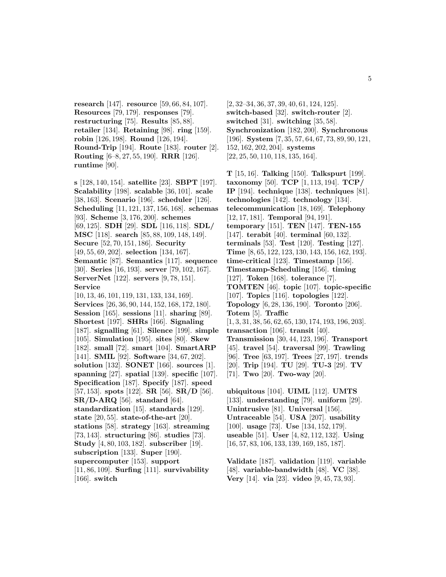**research** [147]. **resource** [59, 66, 84, 107]. **Resources** [79, 179]. **responses** [79]. **restructuring** [75]. **Results** [85, 88]. **retailer** [134]. **Retaining** [98]. **ring** [159]. **robin** [126, 198]. **Round** [126, 194]. **Round-Trip** [194]. **Route** [183]. **router** [2]. **Routing** [6–8, 27, 55, 190]. **RRR** [126]. **runtime** [90].

**s** [128, 140, 154]. **satellite** [23]. **SBPT** [197]. **Scalability** [198]. **scalable** [36, 101]. **scale** [38, 163]. **Scenario** [196]. **scheduler** [126]. **Scheduling** [11, 121, 137, 156, 168]. **schemas** [93]. **Scheme** [3, 176, 200]. **schemes** [69, 125]. **SDH** [29]. **SDL** [116, 118]. **SDL/ MSC** [118]. **search** [85, 88, 109, 148, 149]. **Secure** [52, 70, 151, 186]. **Security** [49, 55, 69, 202]. **selection** [134, 167]. **Semantic** [87]. **Semantics** [117]. **sequence** [30]. **Series** [16, 193]. **server** [79, 102, 167]. **ServerNet** [122]. **servers** [9, 78, 151]. **Service** [10, 13, 46, 101, 119, 131, 133, 134, 169]. **Services** [26, 36, 90, 144, 152, 168, 172, 180]. **Session** [165]. **sessions** [11]. **sharing** [89]. **Shortest** [197]. **SHRs** [166]. **Signaling** [187]. **signalling** [61]. **Silence** [199]. **simple** [105]. **Simulation** [195]. **sites** [80]. **Skew** [182]. **small** [72]. **smart** [104]. **SmartARP** [141]. **SMIL** [92]. **Software** [34, 67, 202]. **solution** [132]. **SONET** [166]. **sources** [1]. **spanning** [27]. **spatial** [139]. **specific** [107]. **Specification** [187]. **Specify** [187]. **speed** [57, 153]. **spots** [122]. **SR** [56]. **SR/D** [56]. **SR/D-ARQ** [56]. **standard** [64]. **standardization** [15]. **standards** [129]. **state** [20, 55]. **state-of-the-art** [20]. **stations** [58]. **strategy** [163]. **streaming** [73, 143]. **structuring** [86]. **studies** [73]. **Study** [4, 80, 103, 182]. **subscriber** [19]. **subscription** [133]. **Super** [190]. **supercomputer** [153]. **support** [11, 86, 109]. **Surfing** [111]. **survivability** [166]. **switch**

[2, 32–34, 36, 37, 39, 40, 61, 124, 125]. **switch-based** [32]. **switch-router** [2]. **switched** [31]. **switching** [35, 58]. **Synchronization** [182, 200]. **Synchronous** [196]. **System** [7, 35, 57, 64, 67, 73, 89, 90, 121, 152, 162, 202, 204]. **systems** [22, 25, 50, 110, 118, 135, 164].

**T** [15, 16]. **Talking** [150]. **Talkspurt** [199]. **taxonomy** [50]. **TCP** [1, 113, 194]. **TCP/ IP** [194]. **technique** [138]. **techniques** [81]. **technologies** [142]. **technology** [134]. **telecommunication** [18, 169]. **Telephony** [12, 17, 181]. **Temporal** [94, 191]. **temporary** [151]. **TEN** [147]. **TEN-155** [147]. **terabit** [40]. **terminal** [60, 132]. **terminals** [53]. **Test** [120]. **Testing** [127]. **Time** [8, 65, 122, 123, 130, 143, 156, 162, 193]. **time-critical** [123]. **Timestamp** [156]. **Timestamp-Scheduling** [156]. **timing** [127]. **Token** [168]. **tolerance** [7]. **TOMTEN** [46]. **topic** [107]. **topic-specific** [107]. **Topics** [116]. **topologies** [122]. **Topology** [6, 28, 136, 190]. **Toronto** [206]. **Totem** [5]. **Traffic** [1, 3, 31, 38, 56, 62, 65, 130, 174, 193, 196, 203]. **transaction** [106]. **transit** [40]. **Transmission** [30, 44, 123, 196]. **Transport** [45]. **travel** [54]. **traversal** [99]. **Trawling** [96]. **Tree** [63, 197]. **Trees** [27, 197]. **trends** [20]. **Trip** [194]. **TU** [29]. **TU-3** [29]. **TV** [71]. **Two** [20]. **Two-way** [20].

**ubiquitous** [104]. **UIML** [112]. **UMTS** [133]. **understanding** [79]. **uniform** [29]. **Unintrusive** [81]. **Universal** [156]. **Untraceable** [54]. **USA** [207]. **usability** [100]. **usage** [73]. **Use** [134, 152, 179]. **useable** [51]. **User** [4, 82, 112, 132]. **Using** [16, 57, 83, 106, 133, 139, 169, 185, 187].

**Validate** [187]. **validation** [119]. **variable** [48]. **variable-bandwidth** [48]. **VC** [38]. **Very** [14]. **via** [23]. **video** [9, 45, 73, 93].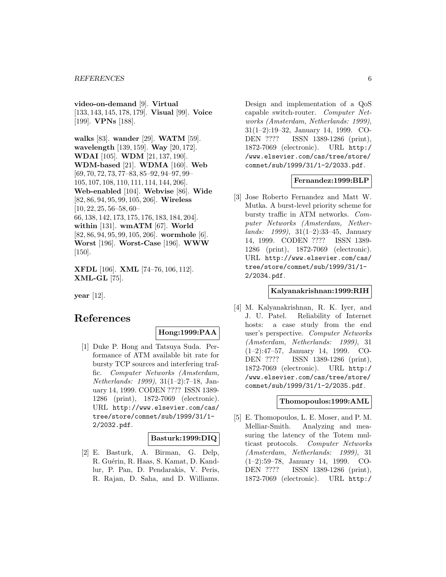**video-on-demand** [9]. **Virtual** [133, 143, 145, 178, 179]. **Visual** [99]. **Voice** [199]. **VPNs** [188].

**walks** [83]. **wander** [29]. **WATM** [59]. **wavelength** [139, 159]. **Way** [20, 172]. **WDAI** [105]. **WDM** [21, 137, 190]. **WDM-based** [21]. **WDMA** [160]. **Web** [69, 70, 72, 73, 77–83, 85–92, 94–97, 99– 105, 107, 108, 110, 111, 114, 144, 206]. **Web-enabled** [104]. **Webvise** [86]. **Wide** [82, 86, 94, 95, 99, 105, 206]. **Wireless** [10, 22, 25, 56–58, 60– 66, 138, 142, 173, 175, 176, 183, 184, 204]. **within** [131]. **wmATM** [67]. **World** [82, 86, 94, 95, 99, 105, 206]. **wormhole** [6]. **Worst** [196]. **Worst-Case** [196]. **WWW** [150].

**XFDL** [106]. **XML** [74–76, 106, 112]. **XML-GL** [75].

**year** [12].

# **References**

### **Hong:1999:PAA**

[1] Duke P. Hong and Tatsuya Suda. Performance of ATM available bit rate for bursty TCP sources and interfering traffic. Computer Networks (Amsterdam, Netherlands: 1999), 31(1–2):7–18, January 14, 1999. CODEN ???? ISSN 1389- 1286 (print), 1872-7069 (electronic). URL http://www.elsevier.com/cas/ tree/store/comnet/sub/1999/31/1- 2/2032.pdf.

#### **Basturk:1999:DIQ**

[2] E. Basturk, A. Birman, G. Delp, R. Guérin, R. Haas, S. Kamat, D. Kandlur, P. Pan, D. Pendarakis, V. Peris, R. Rajan, D. Saha, and D. Williams. Design and implementation of a QoS capable switch-router. Computer Networks (Amsterdam, Netherlands: 1999), 31(1–2):19–32, January 14, 1999. CO-DEN ???? ISSN 1389-1286 (print), 1872-7069 (electronic). URL http:/ /www.elsevier.com/cas/tree/store/ comnet/sub/1999/31/1-2/2033.pdf.

### **Fernandez:1999:BLP**

[3] Jose Roberto Fernandez and Matt W. Mutka. A burst-level priority scheme for bursty traffic in ATM networks. Computer Networks (Amsterdam, Nether $lands: 1999, 31(1-2):33-45, January$ 14, 1999. CODEN ???? ISSN 1389- 1286 (print), 1872-7069 (electronic). URL http://www.elsevier.com/cas/ tree/store/comnet/sub/1999/31/1- 2/2034.pdf.

# **Kalyanakrishnan:1999:RIH**

[4] M. Kalyanakrishnan, R. K. Iyer, and J. U. Patel. Reliability of Internet hosts: a case study from the end user's perspective. Computer Networks (Amsterdam, Netherlands: 1999), 31 (1–2):47–57, January 14, 1999. CO-DEN ???? ISSN 1389-1286 (print), 1872-7069 (electronic). URL http:/ /www.elsevier.com/cas/tree/store/ comnet/sub/1999/31/1-2/2035.pdf.

#### **Thomopoulos:1999:AML**

[5] E. Thomopoulos, L. E. Moser, and P. M. Melliar-Smith. Analyzing and measuring the latency of the Totem multicast protocols. Computer Networks (Amsterdam, Netherlands: 1999), 31 (1–2):59–78, January 14, 1999. CO-DEN ???? ISSN 1389-1286 (print), 1872-7069 (electronic). URL http:/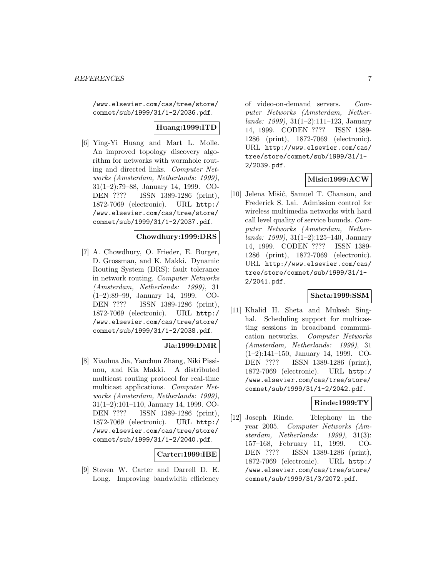/www.elsevier.com/cas/tree/store/ comnet/sub/1999/31/1-2/2036.pdf.

# **Huang:1999:ITD**

[6] Ying-Yi Huang and Mart L. Molle. An improved topology discovery algorithm for networks with wormhole routing and directed links. Computer Networks (Amsterdam, Netherlands: 1999), 31(1–2):79–88, January 14, 1999. CO-DEN ???? ISSN 1389-1286 (print), 1872-7069 (electronic). URL http:/ /www.elsevier.com/cas/tree/store/ comnet/sub/1999/31/1-2/2037.pdf.

### **Chowdhury:1999:DRS**

[7] A. Chowdhury, O. Frieder, E. Burger, D. Grossman, and K. Makki. Dynamic Routing System (DRS): fault tolerance in network routing. Computer Networks (Amsterdam, Netherlands: 1999), 31 (1–2):89–99, January 14, 1999. CO-DEN ???? ISSN 1389-1286 (print), 1872-7069 (electronic). URL http:/ /www.elsevier.com/cas/tree/store/ comnet/sub/1999/31/1-2/2038.pdf.

### **Jia:1999:DMR**

[8] Xiaohua Jia, Yanchun Zhang, Niki Pissinou, and Kia Makki. A distributed multicast routing protocol for real-time multicast applications. Computer Networks (Amsterdam, Netherlands: 1999), 31(1–2):101–110, January 14, 1999. CO-DEN ???? ISSN 1389-1286 (print), 1872-7069 (electronic). URL http:/ /www.elsevier.com/cas/tree/store/ comnet/sub/1999/31/1-2/2040.pdf.

# **Carter:1999:IBE**

[9] Steven W. Carter and Darrell D. E. Long. Improving bandwidth efficiency of video-on-demand servers. Computer Networks (Amsterdam, Netherlands: 1999), 31(1–2):111–123, January 14, 1999. CODEN ???? ISSN 1389- 1286 (print), 1872-7069 (electronic). URL http://www.elsevier.com/cas/ tree/store/comnet/sub/1999/31/1- 2/2039.pdf.

### **Misic:1999:ACW**

[10] Jelena Mišić, Samuel T. Chanson, and Frederick S. Lai. Admission control for wireless multimedia networks with hard call level quality of service bounds. Computer Networks (Amsterdam, Netherlands: 1999), 31(1–2):125–140, January 14, 1999. CODEN ???? ISSN 1389- 1286 (print), 1872-7069 (electronic). URL http://www.elsevier.com/cas/ tree/store/comnet/sub/1999/31/1- 2/2041.pdf.

### **Sheta:1999:SSM**

[11] Khalid H. Sheta and Mukesh Singhal. Scheduling support for multicasting sessions in broadband communication networks. Computer Networks (Amsterdam, Netherlands: 1999), 31 (1–2):141–150, January 14, 1999. CO-DEN ???? ISSN 1389-1286 (print), 1872-7069 (electronic). URL http:/ /www.elsevier.com/cas/tree/store/ comnet/sub/1999/31/1-2/2042.pdf.

### **Rinde:1999:TY**

[12] Joseph Rinde. Telephony in the year 2005. Computer Networks (Amsterdam, Netherlands: 1999), 31(3): 157–168, February 11, 1999. CO-DEN ???? ISSN 1389-1286 (print), 1872-7069 (electronic). URL http:/ /www.elsevier.com/cas/tree/store/ comnet/sub/1999/31/3/2072.pdf.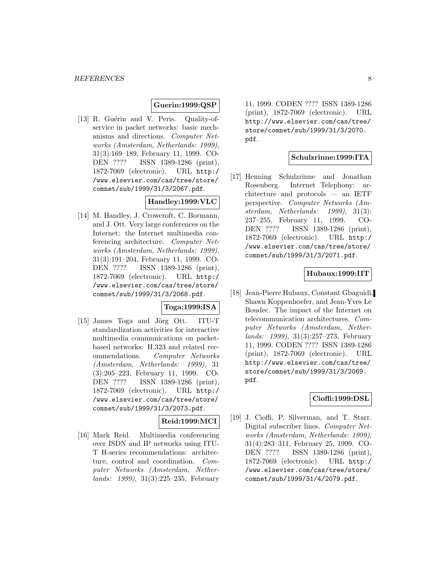### **Guerin:1999:QSP**

[13] R. Guérin and V. Peris. Quality-ofservice in packet networks: basic mechanisms and directions. Computer Networks (Amsterdam, Netherlands: 1999), 31(3):169–189, February 11, 1999. CO-DEN ???? ISSN 1389-1286 (print), 1872-7069 (electronic). URL http:/ /www.elsevier.com/cas/tree/store/ comnet/sub/1999/31/3/2067.pdf.

# **Handley:1999:VLC**

[14] M. Handley, J. Crowcroft, C. Bormann, and J. Ott. Very large conferences on the Internet: the Internet multimedia conferencing architecture. Computer Networks (Amsterdam, Netherlands: 1999), 31(3):191–204, February 11, 1999. CO-DEN ???? ISSN 1389-1286 (print), 1872-7069 (electronic). URL http:/ /www.elsevier.com/cas/tree/store/ comnet/sub/1999/31/3/2068.pdf.

### **Toga:1999:ISA**

[15] James Toga and Jörg Ott. ITU-T standardization activities for interactive multimedia communications on packetbased networks: H.323 and related recommendations. Computer Networks (Amsterdam, Netherlands: 1999), 31 (3):205–223, February 11, 1999. CO-DEN ???? ISSN 1389-1286 (print), 1872-7069 (electronic). URL http:/ /www.elsevier.com/cas/tree/store/ comnet/sub/1999/31/3/2073.pdf.

### **Reid:1999:MCI**

[16] Mark Reid. Multimedia conferencing over ISDN and IP networks using ITU-T H-series recommendations: architecture, control and coordination. Computer Networks (Amsterdam, Netherlands: 1999), 31(3):225–235, February

11, 1999. CODEN ???? ISSN 1389-1286 (print), 1872-7069 (electronic). URL http://www.elsevier.com/cas/tree/ store/comnet/sub/1999/31/3/2070. pdf.

### **Schulzrinne:1999:ITA**

[17] Henning Schulzrinne and Jonathan Rosenberg. Internet Telephony: architecture and protocols — an IETF perspective. Computer Networks (Amsterdam, Netherlands: 1999), 31(3): 237–255, February 11, 1999. CO-DEN ???? ISSN 1389-1286 (print), 1872-7069 (electronic). URL http:/ /www.elsevier.com/cas/tree/store/ comnet/sub/1999/31/3/2071.pdf.

### **Hubaux:1999:IIT**

[18] Jean-Pierre Hubaux, Constant Gbaguidi, Shawn Koppenhoefer, and Jean-Yves Le Boudec. The impact of the Internet on telecommunication architectures. Computer Networks (Amsterdam, Netherlands: 1999), 31(3):257–273, February 11, 1999. CODEN ???? ISSN 1389-1286 (print), 1872-7069 (electronic). URL http://www.elsevier.com/cas/tree/ store/comnet/sub/1999/31/3/2069. pdf.

#### **Cioffi:1999:DSL**

[19] J. Cioffi, P. Silverman, and T. Starr. Digital subscriber lines. Computer Networks (Amsterdam, Netherlands: 1999), 31(4):283–311, February 25, 1999. CO-DEN ???? ISSN 1389-1286 (print), 1872-7069 (electronic). URL http:/ /www.elsevier.com/cas/tree/store/ comnet/sub/1999/31/4/2079.pdf.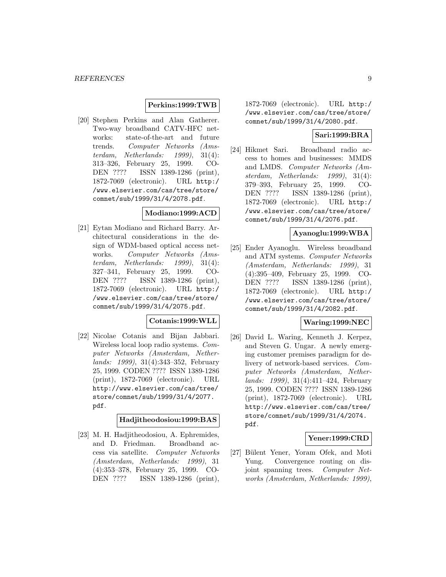### **Perkins:1999:TWB**

[20] Stephen Perkins and Alan Gatherer. Two-way broadband CATV-HFC networks: state-of-the-art and future trends. Computer Networks (Amsterdam, Netherlands: 1999), 31(4): 313–326, February 25, 1999. CO-DEN ???? ISSN 1389-1286 (print), 1872-7069 (electronic). URL http:/ /www.elsevier.com/cas/tree/store/ comnet/sub/1999/31/4/2078.pdf.

### **Modiano:1999:ACD**

[21] Eytan Modiano and Richard Barry. Architectural considerations in the design of WDM-based optical access networks. Computer Networks (Amsterdam, Netherlands: 1999), 31(4): 327–341, February 25, 1999. CO-DEN ???? ISSN 1389-1286 (print), 1872-7069 (electronic). URL http:/ /www.elsevier.com/cas/tree/store/ comnet/sub/1999/31/4/2075.pdf.

### **Cotanis:1999:WLL**

[22] Nicolae Cotanis and Bijan Jabbari. Wireless local loop radio systems. Computer Networks (Amsterdam, Netherlands: 1999), 31(4):343–352, February 25, 1999. CODEN ???? ISSN 1389-1286 (print), 1872-7069 (electronic). URL http://www.elsevier.com/cas/tree/ store/comnet/sub/1999/31/4/2077. pdf.

### **Hadjitheodosiou:1999:BAS**

[23] M. H. Hadjitheodosiou, A. Ephremides, and D. Friedman. Broadband access via satellite. Computer Networks (Amsterdam, Netherlands: 1999), 31 (4):353–378, February 25, 1999. CO-DEN ???? ISSN 1389-1286 (print),

1872-7069 (electronic). URL http:/ /www.elsevier.com/cas/tree/store/ comnet/sub/1999/31/4/2080.pdf.

# **Sari:1999:BRA**

[24] Hikmet Sari. Broadband radio access to homes and businesses: MMDS and LMDS. Computer Networks (Amsterdam, Netherlands: 1999), 31(4): 379–393, February 25, 1999. CO-DEN ???? ISSN 1389-1286 (print), 1872-7069 (electronic). URL http:/ /www.elsevier.com/cas/tree/store/ comnet/sub/1999/31/4/2076.pdf.

### **Ayanoglu:1999:WBA**

[25] Ender Ayanoglu. Wireless broadband and ATM systems. Computer Networks (Amsterdam, Netherlands: 1999), 31 (4):395–409, February 25, 1999. CO-DEN ???? ISSN 1389-1286 (print), 1872-7069 (electronic). URL http:/ /www.elsevier.com/cas/tree/store/ comnet/sub/1999/31/4/2082.pdf.

### **Waring:1999:NEC**

[26] David L. Waring, Kenneth J. Kerpez, and Steven G. Ungar. A newly emerging customer premises paradigm for delivery of network-based services. Computer Networks (Amsterdam, Netherlands: 1999), 31(4):411–424, February 25, 1999. CODEN ???? ISSN 1389-1286 (print), 1872-7069 (electronic). URL http://www.elsevier.com/cas/tree/ store/comnet/sub/1999/31/4/2074. pdf.

### **Yener:1999:CRD**

[27] Bülent Yener, Yoram Ofek, and Moti Yung. Convergence routing on disjoint spanning trees. Computer Networks (Amsterdam, Netherlands: 1999),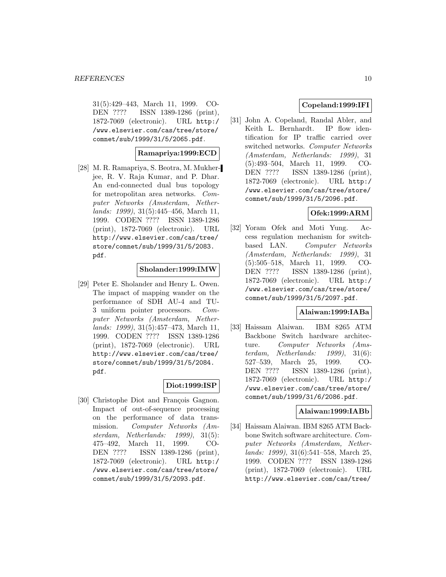31(5):429–443, March 11, 1999. CO-DEN ???? ISSN 1389-1286 (print), 1872-7069 (electronic). URL http:/ /www.elsevier.com/cas/tree/store/ comnet/sub/1999/31/5/2065.pdf.

### **Ramapriya:1999:ECD**

[28] M. R. Ramapriya, S. Beotra, M. Mukherjee, R. V. Raja Kumar, and P. Dhar. An end-connected dual bus topology for metropolitan area networks. Computer Networks (Amsterdam, Netherlands: 1999), 31(5):445–456, March 11, 1999. CODEN ???? ISSN 1389-1286 (print), 1872-7069 (electronic). URL http://www.elsevier.com/cas/tree/ store/comnet/sub/1999/31/5/2083. pdf.

### **Sholander:1999:IMW**

[29] Peter E. Sholander and Henry L. Owen. The impact of mapping wander on the performance of SDH AU-4 and TU-3 uniform pointer processors. Computer Networks (Amsterdam, Netherlands: 1999), 31(5):457–473, March 11, 1999. CODEN ???? ISSN 1389-1286 (print), 1872-7069 (electronic). URL http://www.elsevier.com/cas/tree/ store/comnet/sub/1999/31/5/2084. pdf.

### **Diot:1999:ISP**

[30] Christophe Diot and François Gagnon. Impact of out-of-sequence processing on the performance of data transmission. Computer Networks (Amsterdam, Netherlands: 1999), 31(5): 475–492, March 11, 1999. CO-DEN ???? ISSN 1389-1286 (print), 1872-7069 (electronic). URL http:/ /www.elsevier.com/cas/tree/store/ comnet/sub/1999/31/5/2093.pdf.

# **Copeland:1999:IFI**

[31] John A. Copeland, Randal Abler, and Keith L. Bernhardt. IP flow identification for IP traffic carried over switched networks. Computer Networks (Amsterdam, Netherlands: 1999), 31 (5):493–504, March 11, 1999. CO-DEN ???? ISSN 1389-1286 (print), 1872-7069 (electronic). URL http:/ /www.elsevier.com/cas/tree/store/ comnet/sub/1999/31/5/2096.pdf.

# **Ofek:1999:ARM**

[32] Yoram Ofek and Moti Yung. Access regulation mechanism for switchbased LAN. Computer Networks (Amsterdam, Netherlands: 1999), 31 (5):505–518, March 11, 1999. CO-DEN ???? ISSN 1389-1286 (print), 1872-7069 (electronic). URL http:/ /www.elsevier.com/cas/tree/store/ comnet/sub/1999/31/5/2097.pdf.

### **Alaiwan:1999:IABa**

[33] Haissam Alaiwan. IBM 8265 ATM Backbone Switch hardware architecture. Computer Networks (Amsterdam, Netherlands: 1999), 31(6): 527–539, March 25, 1999. CO-DEN ???? ISSN 1389-1286 (print), 1872-7069 (electronic). URL http:/ /www.elsevier.com/cas/tree/store/ comnet/sub/1999/31/6/2086.pdf.

#### **Alaiwan:1999:IABb**

[34] Haissam Alaiwan. IBM 8265 ATM Backbone Switch software architecture. Computer Networks (Amsterdam, Netherlands: 1999), 31(6):541–558, March 25, 1999. CODEN ???? ISSN 1389-1286 (print), 1872-7069 (electronic). URL http://www.elsevier.com/cas/tree/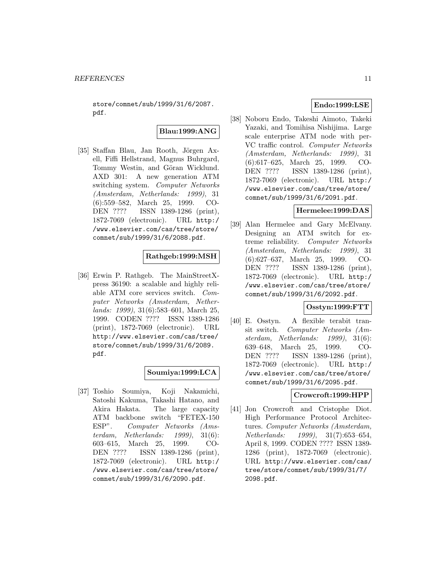store/comnet/sub/1999/31/6/2087. pdf.

### **Blau:1999:ANG**

[35] Staffan Blau, Jan Rooth, Jörgen Axell, Fiffi Hellstrand, Magnus Buhrgard, Tommy Westin, and Göran Wicklund. AXD 301: A new generation ATM switching system. Computer Networks (Amsterdam, Netherlands: 1999), 31 (6):559–582, March 25, 1999. CO-DEN ???? ISSN 1389-1286 (print), 1872-7069 (electronic). URL http:/ /www.elsevier.com/cas/tree/store/ comnet/sub/1999/31/6/2088.pdf.

# **Rathgeb:1999:MSH**

[36] Erwin P. Rathgeb. The MainStreetXpress 36190: a scalable and highly reliable ATM core services switch. Computer Networks (Amsterdam, Netherlands: 1999), 31(6):583–601, March 25, 1999. CODEN ???? ISSN 1389-1286 (print), 1872-7069 (electronic). URL http://www.elsevier.com/cas/tree/ store/comnet/sub/1999/31/6/2089. pdf.

# **Soumiya:1999:LCA**

[37] Toshio Soumiya, Koji Nakamichi, Satoshi Kakuma, Takashi Hatano, and Akira Hakata. The large capacity ATM backbone switch "FETEX-150 ESP". Computer Networks (Amsterdam, Netherlands: 1999), 31(6): 603–615, March 25, 1999. CO-DEN ???? ISSN 1389-1286 (print), 1872-7069 (electronic). URL http:/ /www.elsevier.com/cas/tree/store/ comnet/sub/1999/31/6/2090.pdf.

# **Endo:1999:LSE**

[38] Noboru Endo, Takeshi Aimoto, Takeki Yazaki, and Tomihisa Nishijima. Large scale enterprise ATM node with per-VC traffic control. Computer Networks (Amsterdam, Netherlands: 1999), 31 (6):617–625, March 25, 1999. CO-DEN ???? ISSN 1389-1286 (print), 1872-7069 (electronic). URL http:/ /www.elsevier.com/cas/tree/store/ comnet/sub/1999/31/6/2091.pdf.

### **Hermelee:1999:DAS**

[39] Alan Hermelee and Gary McElvany. Designing an ATM switch for extreme reliability. Computer Networks (Amsterdam, Netherlands: 1999), 31 (6):627–637, March 25, 1999. CO-DEN ???? ISSN 1389-1286 (print), 1872-7069 (electronic). URL http:/ /www.elsevier.com/cas/tree/store/ comnet/sub/1999/31/6/2092.pdf.

### **Osstyn:1999:FTT**

[40] E. Osstyn. A flexible terabit transit switch. Computer Networks (Amsterdam, Netherlands: 1999), 31(6): 639–648, March 25, 1999. CO-DEN ???? ISSN 1389-1286 (print), 1872-7069 (electronic). URL http:/ /www.elsevier.com/cas/tree/store/ comnet/sub/1999/31/6/2095.pdf.

### **Crowcroft:1999:HPP**

[41] Jon Crowcroft and Cristophe Diot. High Performance Protocol Architectures. Computer Networks (Amsterdam, Netherlands: 1999), 31(7):653–654, April 8, 1999. CODEN ???? ISSN 1389- 1286 (print), 1872-7069 (electronic). URL http://www.elsevier.com/cas/ tree/store/comnet/sub/1999/31/7/ 2098.pdf.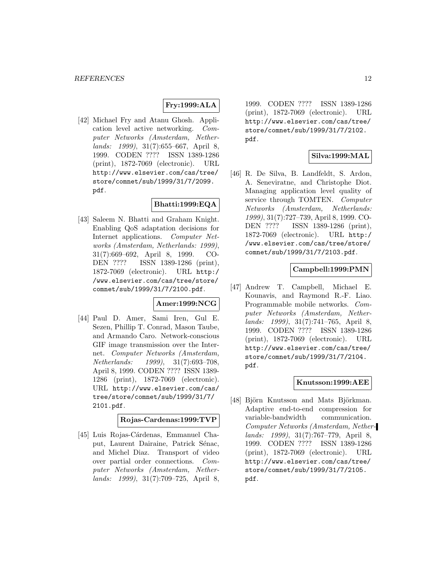# **Fry:1999:ALA**

[42] Michael Fry and Atanu Ghosh. Application level active networking. Computer Networks (Amsterdam, Netherlands: 1999), 31(7):655–667, April 8, 1999. CODEN ???? ISSN 1389-1286 (print), 1872-7069 (electronic). URL http://www.elsevier.com/cas/tree/ store/comnet/sub/1999/31/7/2099. pdf.

# **Bhatti:1999:EQA**

[43] Saleem N. Bhatti and Graham Knight. Enabling QoS adaptation decisions for Internet applications. Computer Networks (Amsterdam, Netherlands: 1999), 31(7):669–692, April 8, 1999. CO-DEN ???? ISSN 1389-1286 (print), 1872-7069 (electronic). URL http:/ /www.elsevier.com/cas/tree/store/ comnet/sub/1999/31/7/2100.pdf.

### **Amer:1999:NCG**

[44] Paul D. Amer, Sami Iren, Gul E. Sezen, Phillip T. Conrad, Mason Taube, and Armando Caro. Network-conscious GIF image transmission over the Internet. Computer Networks (Amsterdam, Netherlands: 1999), 31(7):693–708, April 8, 1999. CODEN ???? ISSN 1389- 1286 (print), 1872-7069 (electronic). URL http://www.elsevier.com/cas/ tree/store/comnet/sub/1999/31/7/ 2101.pdf.

# **Rojas-Cardenas:1999:TVP**

[45] Luis Rojas-Cárdenas, Emmanuel Chaput, Laurent Dairaine, Patrick Sénac, and Michel Diaz. Transport of video over partial order connections. Computer Networks (Amsterdam, Netherlands: 1999), 31(7):709–725, April 8,

1999. CODEN ???? ISSN 1389-1286 (print), 1872-7069 (electronic). URL http://www.elsevier.com/cas/tree/ store/comnet/sub/1999/31/7/2102. pdf.

# **Silva:1999:MAL**

[46] R. De Silva, B. Landfeldt, S. Ardon, A. Seneviratne, and Christophe Diot. Managing application level quality of service through TOMTEN. Computer Networks (Amsterdam, Netherlands: 1999), 31(7):727–739, April 8, 1999. CO-DEN ???? ISSN 1389-1286 (print), 1872-7069 (electronic). URL http:/ /www.elsevier.com/cas/tree/store/ comnet/sub/1999/31/7/2103.pdf.

### **Campbell:1999:PMN**

[47] Andrew T. Campbell, Michael E. Kounavis, and Raymond R.-F. Liao. Programmable mobile networks. Computer Networks (Amsterdam, Netherlands: 1999), 31(7):741–765, April 8, 1999. CODEN ???? ISSN 1389-1286 (print), 1872-7069 (electronic). URL http://www.elsevier.com/cas/tree/ store/comnet/sub/1999/31/7/2104. pdf.

### **Knutsson:1999:AEE**

[48] Björn Knutsson and Mats Björkman. Adaptive end-to-end compression for variable-bandwidth communication. Computer Networks (Amsterdam, Netherlands: 1999), 31(7):767–779, April 8, 1999. CODEN ???? ISSN 1389-1286 (print), 1872-7069 (electronic). URL http://www.elsevier.com/cas/tree/ store/comnet/sub/1999/31/7/2105. pdf.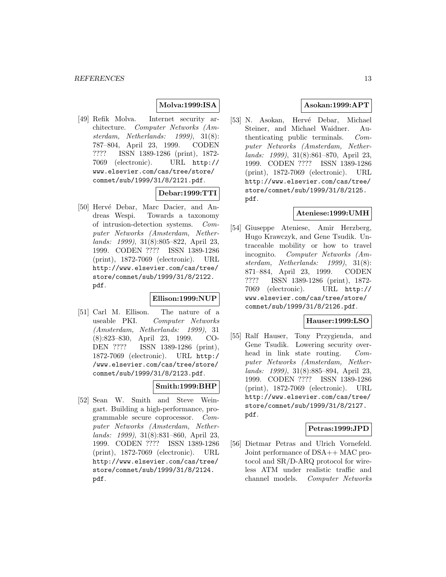### **Molva:1999:ISA**

[49] Refik Molva. Internet security architecture. Computer Networks (Amsterdam, Netherlands: 1999), 31(8): 787–804, April 23, 1999. CODEN ???? ISSN 1389-1286 (print), 1872- 7069 (electronic). URL http:// www.elsevier.com/cas/tree/store/ comnet/sub/1999/31/8/2121.pdf.

### **Debar:1999:TTI**

[50] Hervé Debar, Marc Dacier, and Andreas Wespi. Towards a taxonomy of intrusion-detection systems. Computer Networks (Amsterdam, Netherlands: 1999), 31(8):805–822, April 23, 1999. CODEN ???? ISSN 1389-1286 (print), 1872-7069 (electronic). URL http://www.elsevier.com/cas/tree/ store/comnet/sub/1999/31/8/2122. pdf.

#### **Ellison:1999:NUP**

[51] Carl M. Ellison. The nature of a useable PKI. Computer Networks (Amsterdam, Netherlands: 1999), 31 (8):823–830, April 23, 1999. CO-DEN ???? ISSN 1389-1286 (print), 1872-7069 (electronic). URL http:/ /www.elsevier.com/cas/tree/store/ comnet/sub/1999/31/8/2123.pdf.

### **Smith:1999:BHP**

[52] Sean W. Smith and Steve Weingart. Building a high-performance, programmable secure coprocessor. Computer Networks (Amsterdam, Netherlands: 1999), 31(8):831–860, April 23, 1999. CODEN ???? ISSN 1389-1286 (print), 1872-7069 (electronic). URL http://www.elsevier.com/cas/tree/ store/comnet/sub/1999/31/8/2124. pdf.

# **Asokan:1999:APT**

[53] N. Asokan, Hervé Debar, Michael Steiner, and Michael Waidner. Authenticating public terminals. Computer Networks (Amsterdam, Netherlands: 1999), 31(8):861–870, April 23, 1999. CODEN ???? ISSN 1389-1286 (print), 1872-7069 (electronic). URL http://www.elsevier.com/cas/tree/ store/comnet/sub/1999/31/8/2125. pdf.

### **Ateniese:1999:UMH**

[54] Giuseppe Ateniese, Amir Herzberg, Hugo Krawczyk, and Gene Tsudik. Untraceable mobility or how to travel incognito. Computer Networks (Amsterdam, Netherlands: 1999), 31(8): 871–884, April 23, 1999. CODEN ???? ISSN 1389-1286 (print), 1872- 7069 (electronic). URL http:// www.elsevier.com/cas/tree/store/ comnet/sub/1999/31/8/2126.pdf.

### **Hauser:1999:LSO**

[55] Ralf Hauser, Tony Przygienda, and Gene Tsudik. Lowering security overhead in link state routing. Computer Networks (Amsterdam, Netherlands: 1999), 31(8):885–894, April 23, 1999. CODEN ???? ISSN 1389-1286 (print), 1872-7069 (electronic). URL http://www.elsevier.com/cas/tree/ store/comnet/sub/1999/31/8/2127. pdf.

### **Petras:1999:JPD**

[56] Dietmar Petras and Ulrich Vornefeld. Joint performance of DSA++ MAC protocol and SR/D-ARQ protocol for wireless ATM under realistic traffic and channel models. Computer Networks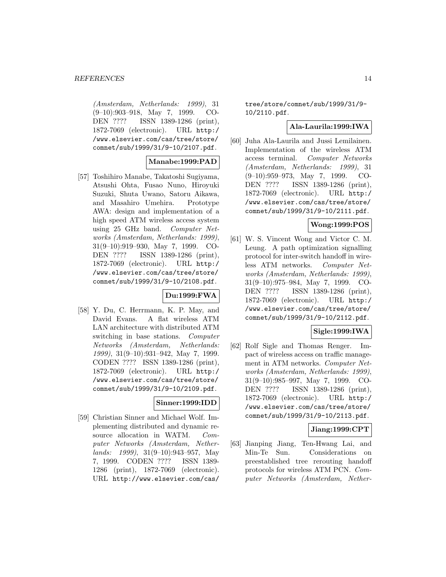(Amsterdam, Netherlands: 1999), 31 (9–10):903–918, May 7, 1999. CO-DEN ???? ISSN 1389-1286 (print), 1872-7069 (electronic). URL http:/ /www.elsevier.com/cas/tree/store/ comnet/sub/1999/31/9-10/2107.pdf.

### **Manabe:1999:PAD**

[57] Toshihiro Manabe, Takatoshi Sugiyama, Atsushi Ohta, Fusao Nuno, Hiroyuki Suzuki, Shuta Uwano, Satoru Aikawa, and Masahiro Umehira. Prototype AWA: design and implementation of a high speed ATM wireless access system using 25 GHz band. Computer Networks (Amsterdam, Netherlands: 1999), 31(9–10):919–930, May 7, 1999. CO-DEN ???? ISSN 1389-1286 (print), 1872-7069 (electronic). URL http:/ /www.elsevier.com/cas/tree/store/ comnet/sub/1999/31/9-10/2108.pdf.

### **Du:1999:FWA**

[58] Y. Du, C. Herrmann, K. P. May, and David Evans. A flat wireless ATM LAN architecture with distributed ATM switching in base stations. Computer Networks (Amsterdam, Netherlands: 1999), 31(9–10):931–942, May 7, 1999. CODEN ???? ISSN 1389-1286 (print), 1872-7069 (electronic). URL http:/ /www.elsevier.com/cas/tree/store/ comnet/sub/1999/31/9-10/2109.pdf.

# **Sinner:1999:IDD**

[59] Christian Sinner and Michael Wolf. Implementing distributed and dynamic resource allocation in WATM. Computer Networks (Amsterdam, Netherlands: 1999), 31(9–10):943–957, May 7, 1999. CODEN ???? ISSN 1389- 1286 (print), 1872-7069 (electronic). URL http://www.elsevier.com/cas/

tree/store/comnet/sub/1999/31/9- 10/2110.pdf.

### **Ala-Laurila:1999:IWA**

[60] Juha Ala-Laurila and Jussi Lemilainen. Implementation of the wireless ATM access terminal. Computer Networks (Amsterdam, Netherlands: 1999), 31 (9–10):959–973, May 7, 1999. CO-DEN ???? ISSN 1389-1286 (print), 1872-7069 (electronic). URL http:/ /www.elsevier.com/cas/tree/store/ comnet/sub/1999/31/9-10/2111.pdf.

# **Wong:1999:POS**

[61] W. S. Vincent Wong and Victor C. M. Leung. A path optimization signalling protocol for inter-switch handoff in wireless ATM networks. Computer Networks (Amsterdam, Netherlands: 1999), 31(9–10):975–984, May 7, 1999. CO-DEN ???? ISSN 1389-1286 (print), 1872-7069 (electronic). URL http:/ /www.elsevier.com/cas/tree/store/ comnet/sub/1999/31/9-10/2112.pdf.

### **Sigle:1999:IWA**

[62] Rolf Sigle and Thomas Renger. Impact of wireless access on traffic management in ATM networks. Computer Networks (Amsterdam, Netherlands: 1999), 31(9–10):985–997, May 7, 1999. CO-DEN ???? ISSN 1389-1286 (print), 1872-7069 (electronic). URL http:/ /www.elsevier.com/cas/tree/store/ comnet/sub/1999/31/9-10/2113.pdf.

# **Jiang:1999:CPT**

[63] Jianping Jiang, Ten-Hwang Lai, and Min-Te Sun. Considerations on preestablished tree rerouting handoff protocols for wireless ATM PCN. Computer Networks (Amsterdam, Nether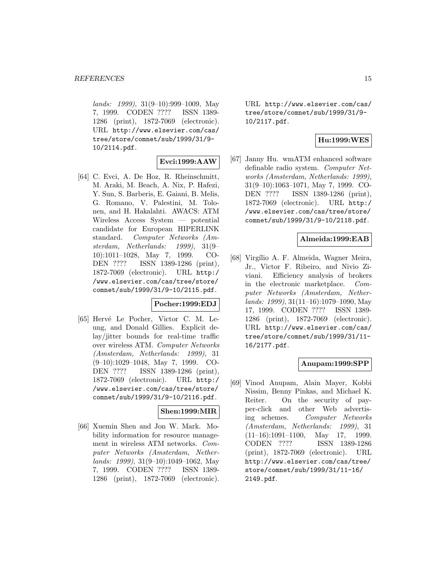lands: 1999), 31(9–10):999–1009, May 7, 1999. CODEN ???? ISSN 1389- 1286 (print), 1872-7069 (electronic). URL http://www.elsevier.com/cas/ tree/store/comnet/sub/1999/31/9- 10/2114.pdf.

### **Evci:1999:AAW**

[64] C. Evci, A. De Hoz, R. Rheinschmitt, M. Araki, M. Beach, A. Nix, P. Hafezi, Y. Sun, S. Barberis, E. Gaiani, B. Melis, G. Romano, V. Palestini, M. Tolonen, and H. Hakalahti. AWACS: ATM Wireless Access System — potential candidate for European HIPERLINK standard. Computer Networks (Amsterdam, Netherlands: 1999), 31(9– 10):1011–1028, May 7, 1999. CO-DEN ???? ISSN 1389-1286 (print), 1872-7069 (electronic). URL http:/ /www.elsevier.com/cas/tree/store/ comnet/sub/1999/31/9-10/2115.pdf.

### **Pocher:1999:EDJ**

[65] Hervé Le Pocher, Victor C. M. Leung, and Donald Gillies. Explicit delay/jitter bounds for real-time traffic over wireless ATM. Computer Networks (Amsterdam, Netherlands: 1999), 31 (9–10):1029–1048, May 7, 1999. CO-DEN ???? ISSN 1389-1286 (print), 1872-7069 (electronic). URL http:/ /www.elsevier.com/cas/tree/store/ comnet/sub/1999/31/9-10/2116.pdf.

### **Shen:1999:MIR**

[66] Xuemin Shen and Jon W. Mark. Mobility information for resource management in wireless ATM networks. Computer Networks (Amsterdam, Netherlands: 1999), 31(9–10):1049–1062, May 7, 1999. CODEN ???? ISSN 1389- 1286 (print), 1872-7069 (electronic). URL http://www.elsevier.com/cas/ tree/store/comnet/sub/1999/31/9- 10/2117.pdf.

# **Hu:1999:WES**

[67] Janny Hu. wmATM enhanced software definable radio system. Computer Networks (Amsterdam, Netherlands: 1999), 31(9–10):1063–1071, May 7, 1999. CO-DEN ???? ISSN 1389-1286 (print), 1872-7069 (electronic). URL http:/ /www.elsevier.com/cas/tree/store/ comnet/sub/1999/31/9-10/2118.pdf.

### **Almeida:1999:EAB**

[68] Virgílio A. F. Almeida, Wagner Meira, Jr., Victor F. Ribeiro, and Nivio Ziviani. Efficiency analysis of brokers in the electronic marketplace. Computer Networks (Amsterdam, Nether $lands: 1999, 31(11–16):1079–1090, May$ 17, 1999. CODEN ???? ISSN 1389- 1286 (print), 1872-7069 (electronic). URL http://www.elsevier.com/cas/ tree/store/comnet/sub/1999/31/11- 16/2177.pdf.

### **Anupam:1999:SPP**

[69] Vinod Anupam, Alain Mayer, Kobbi Nissim, Benny Pinkas, and Michael K. Reiter. On the security of payper-click and other Web advertising schemes. Computer Networks (Amsterdam, Netherlands: 1999), 31  $(11-16):1091-1100$ , May 17, 1999. CODEN ???? ISSN 1389-1286 (print), 1872-7069 (electronic). URL http://www.elsevier.com/cas/tree/ store/comnet/sub/1999/31/11-16/ 2149.pdf.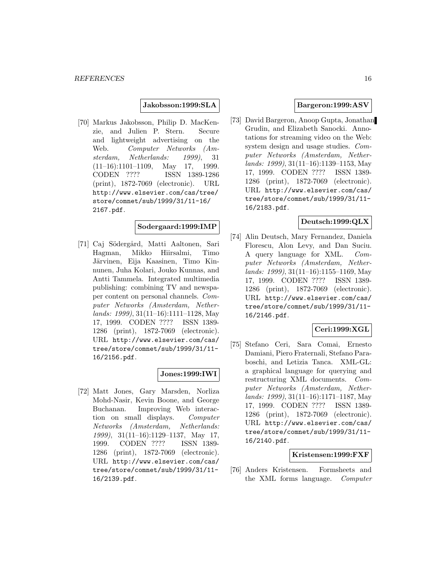### **Jakobsson:1999:SLA**

[70] Markus Jakobsson, Philip D. MacKenzie, and Julien P. Stern. Secure and lightweight advertising on the Web. Computer Networks (Amsterdam, Netherlands: 1999), 31 (11–16):1101–1109, May 17, 1999. CODEN ???? ISSN 1389-1286 (print), 1872-7069 (electronic). URL http://www.elsevier.com/cas/tree/ store/comnet/sub/1999/31/11-16/ 2167.pdf.

### **Sodergaard:1999:IMP**

[71] Caj Södergård, Matti Aaltonen, Sari Hagman, Mikko Hiirsalmi, Timo Järvinen, Eija Kaasinen, Timo Kinnunen, Juha Kolari, Jouko Kunnas, and Antti Tammela. Integrated multimedia publishing: combining TV and newspaper content on personal channels. Computer Networks (Amsterdam, Netherlands: 1999), 31(11–16):1111–1128, May 17, 1999. CODEN ???? ISSN 1389- 1286 (print), 1872-7069 (electronic). URL http://www.elsevier.com/cas/ tree/store/comnet/sub/1999/31/11- 16/2156.pdf.

### **Jones:1999:IWI**

[72] Matt Jones, Gary Marsden, Norliza Mohd-Nasir, Kevin Boone, and George Buchanan. Improving Web interaction on small displays. Computer Networks (Amsterdam, Netherlands: 1999), 31(11–16):1129–1137, May 17, 1999. CODEN ???? ISSN 1389- 1286 (print), 1872-7069 (electronic). URL http://www.elsevier.com/cas/ tree/store/comnet/sub/1999/31/11- 16/2139.pdf.

### **Bargeron:1999:ASV**

[73] David Bargeron, Anoop Gupta, Jonathan Grudin, and Elizabeth Sanocki. Annotations for streaming video on the Web: system design and usage studies. Computer Networks (Amsterdam, Netherlands: 1999), 31(11–16):1139–1153, May 17, 1999. CODEN ???? ISSN 1389- 1286 (print), 1872-7069 (electronic). URL http://www.elsevier.com/cas/ tree/store/comnet/sub/1999/31/11- 16/2183.pdf.

### **Deutsch:1999:QLX**

[74] Alin Deutsch, Mary Fernandez, Daniela Florescu, Alon Levy, and Dan Suciu. A query language for XML. Computer Networks (Amsterdam, Netherlands: 1999), 31(11–16):1155–1169, May 17, 1999. CODEN ???? ISSN 1389- 1286 (print), 1872-7069 (electronic). URL http://www.elsevier.com/cas/ tree/store/comnet/sub/1999/31/11- 16/2146.pdf.

### **Ceri:1999:XGL**

[75] Stefano Ceri, Sara Comai, Ernesto Damiani, Piero Fraternali, Stefano Paraboschi, and Letizia Tanca. XML-GL: a graphical language for querying and restructuring XML documents. Computer Networks (Amsterdam, Netherlands: 1999), 31(11–16):1171–1187, May 17, 1999. CODEN ???? ISSN 1389- 1286 (print), 1872-7069 (electronic). URL http://www.elsevier.com/cas/ tree/store/comnet/sub/1999/31/11- 16/2140.pdf.

### **Kristensen:1999:FXF**

[76] Anders Kristensen. Formsheets and the XML forms language. Computer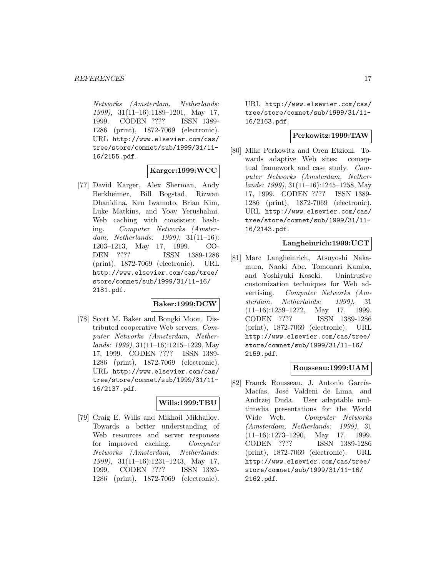Networks (Amsterdam, Netherlands: 1999), 31(11–16):1189–1201, May 17, 1999. CODEN ???? ISSN 1389- 1286 (print), 1872-7069 (electronic). URL http://www.elsevier.com/cas/ tree/store/comnet/sub/1999/31/11- 16/2155.pdf.

# **Karger:1999:WCC**

[77] David Karger, Alex Sherman, Andy Berkheimer, Bill Bogstad, Rizwan Dhanidina, Ken Iwamoto, Brian Kim, Luke Matkins, and Yoav Yerushalmi. Web caching with consistent hashing. Computer Networks (Amsterdam, Netherlands: 1999), 31(11–16): 1203–1213, May 17, 1999. CO-DEN ???? ISSN 1389-1286 (print), 1872-7069 (electronic). URL http://www.elsevier.com/cas/tree/ store/comnet/sub/1999/31/11-16/ 2181.pdf.

# **Baker:1999:DCW**

[78] Scott M. Baker and Bongki Moon. Distributed cooperative Web servers. Computer Networks (Amsterdam, Netherlands: 1999), 31(11–16):1215–1229, May 17, 1999. CODEN ???? ISSN 1389- 1286 (print), 1872-7069 (electronic). URL http://www.elsevier.com/cas/ tree/store/comnet/sub/1999/31/11- 16/2137.pdf.

### **Wills:1999:TBU**

[79] Craig E. Wills and Mikhail Mikhailov. Towards a better understanding of Web resources and server responses for improved caching. Computer Networks (Amsterdam, Netherlands: 1999), 31(11–16):1231–1243, May 17, 1999. CODEN ???? ISSN 1389- 1286 (print), 1872-7069 (electronic).

URL http://www.elsevier.com/cas/ tree/store/comnet/sub/1999/31/11- 16/2163.pdf.

### **Perkowitz:1999:TAW**

[80] Mike Perkowitz and Oren Etzioni. Towards adaptive Web sites: conceptual framework and case study. Computer Networks (Amsterdam, Netherlands: 1999), 31(11–16):1245–1258, May 17, 1999. CODEN ???? ISSN 1389- 1286 (print), 1872-7069 (electronic). URL http://www.elsevier.com/cas/ tree/store/comnet/sub/1999/31/11- 16/2143.pdf.

### **Langheinrich:1999:UCT**

[81] Marc Langheinrich, Atsuyoshi Nakamura, Naoki Abe, Tomonari Kamba, and Yoshiyuki Koseki. Unintrusive customization techniques for Web advertising. Computer Networks (Amsterdam, Netherlands: 1999), 31  $(11-16):1259-1272$ , May 17, 1999. CODEN ???? ISSN 1389-1286 (print), 1872-7069 (electronic). URL http://www.elsevier.com/cas/tree/ store/comnet/sub/1999/31/11-16/ 2159.pdf.

#### **Rousseau:1999:UAM**

[82] Franck Rousseau, J. Antonio García-Macías, José Valdeni de Lima, and Andrzej Duda. User adaptable multimedia presentations for the World Wide Web. Computer Networks (Amsterdam, Netherlands: 1999), 31  $(11-16):1273-1290$ , May 17, 1999. CODEN ???? ISSN 1389-1286 (print), 1872-7069 (electronic). URL http://www.elsevier.com/cas/tree/ store/comnet/sub/1999/31/11-16/ 2162.pdf.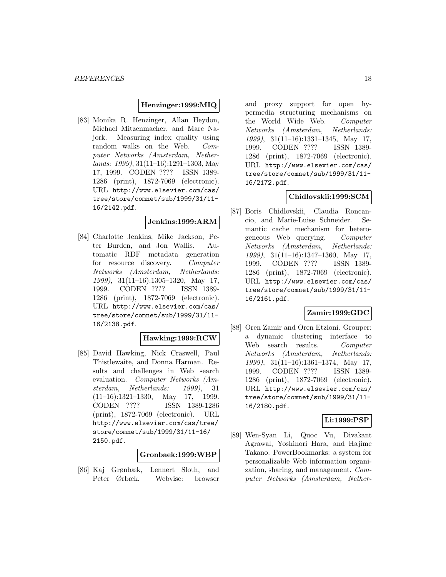### **Henzinger:1999:MIQ**

[83] Monika R. Henzinger, Allan Heydon, Michael Mitzenmacher, and Marc Najork. Measuring index quality using random walks on the Web. Computer Networks (Amsterdam, Netherlands: 1999), 31(11–16):1291–1303, May 17, 1999. CODEN ???? ISSN 1389- 1286 (print), 1872-7069 (electronic). URL http://www.elsevier.com/cas/ tree/store/comnet/sub/1999/31/11- 16/2142.pdf.

### **Jenkins:1999:ARM**

[84] Charlotte Jenkins, Mike Jackson, Peter Burden, and Jon Wallis. Automatic RDF metadata generation for resource discovery. Computer Networks (Amsterdam, Netherlands: 1999), 31(11–16):1305–1320, May 17, 1999. CODEN ???? ISSN 1389- 1286 (print), 1872-7069 (electronic). URL http://www.elsevier.com/cas/ tree/store/comnet/sub/1999/31/11- 16/2138.pdf.

# **Hawking:1999:RCW**

[85] David Hawking, Nick Craswell, Paul Thistlewaite, and Donna Harman. Results and challenges in Web search evaluation. Computer Networks (Amsterdam, Netherlands: 1999), 31 (11–16):1321–1330, May 17, 1999. CODEN ???? ISSN 1389-1286 (print), 1872-7069 (electronic). URL http://www.elsevier.com/cas/tree/ store/comnet/sub/1999/31/11-16/ 2150.pdf.

#### **Gronbaek:1999:WBP**

[86] Kaj Grønbæk, Lennert Sloth, and Peter Ørbæk. Webvise: browser and proxy support for open hypermedia structuring mechanisms on the World Wide Web. Computer Networks (Amsterdam, Netherlands: 1999), 31(11–16):1331–1345, May 17, 1999. CODEN ???? ISSN 1389- 1286 (print), 1872-7069 (electronic). URL http://www.elsevier.com/cas/ tree/store/comnet/sub/1999/31/11- 16/2172.pdf.

### **Chidlovskii:1999:SCM**

[87] Boris Chidlovskii, Claudia Roncancio, and Marie-Luise Schneider. Semantic cache mechanism for heterogeneous Web querying. Computer Networks (Amsterdam, Netherlands: 1999), 31(11–16):1347–1360, May 17, 1999. CODEN ???? ISSN 1389- 1286 (print), 1872-7069 (electronic). URL http://www.elsevier.com/cas/ tree/store/comnet/sub/1999/31/11- 16/2161.pdf.

### **Zamir:1999:GDC**

[88] Oren Zamir and Oren Etzioni. Grouper: a dynamic clustering interface to Web search results. Computer Networks (Amsterdam, Netherlands: 1999), 31(11–16):1361–1374, May 17, 1999. CODEN ???? ISSN 1389- 1286 (print), 1872-7069 (electronic). URL http://www.elsevier.com/cas/ tree/store/comnet/sub/1999/31/11- 16/2180.pdf.

### **Li:1999:PSP**

[89] Wen-Syan Li, Quoc Vu, Divakant Agrawal, Yoshinori Hara, and Hajime Takano. PowerBookmarks: a system for personalizable Web information organization, sharing, and management. Computer Networks (Amsterdam, Nether-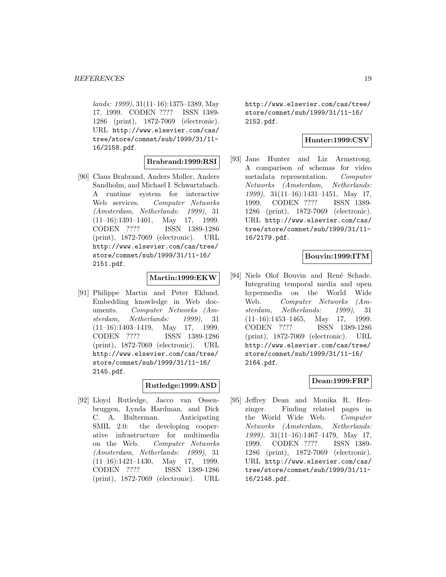lands: 1999), 31(11–16):1375–1389, May 17, 1999. CODEN ???? ISSN 1389- 1286 (print), 1872-7069 (electronic). URL http://www.elsevier.com/cas/ tree/store/comnet/sub/1999/31/11- 16/2158.pdf.

### **Brabrand:1999:RSI**

[90] Claus Brabrand, Anders Møller, Anders Sandholm, and Michael I. Schwartzbach. A runtime system for interactive Web services. Computer Networks (Amsterdam, Netherlands: 1999), 31 (11–16):1391–1401, May 17, 1999. CODEN ???? ISSN 1389-1286 (print), 1872-7069 (electronic). URL http://www.elsevier.com/cas/tree/ store/comnet/sub/1999/31/11-16/ 2151.pdf.

### **Martin:1999:EKW**

[91] Philippe Martin and Peter Eklund. Embedding knowledge in Web documents. Computer Networks (Amsterdam, Netherlands: 1999), 31 (11–16):1403–1419, May 17, 1999. CODEN ???? ISSN 1389-1286 (print), 1872-7069 (electronic). URL http://www.elsevier.com/cas/tree/ store/comnet/sub/1999/31/11-16/ 2145.pdf.

# **Rutledge:1999:ASD**

[92] Lloyd Rutledge, Jacco van Ossenbruggen, Lynda Hardman, and Dick C. A. Bulterman. Anticipating SMIL 2.0: the developing cooperative infrastructure for multimedia on the Web. Computer Networks (Amsterdam, Netherlands: 1999), 31 (11–16):1421–1430, May 17, 1999. CODEN ???? ISSN 1389-1286 (print), 1872-7069 (electronic). URL http://www.elsevier.com/cas/tree/ store/comnet/sub/1999/31/11-16/ 2152.pdf.

# **Hunter:1999:CSV**

[93] Jane Hunter and Liz Armstrong. A comparison of schemas for video metadata representation. Computer Networks (Amsterdam, Netherlands: 1999), 31(11–16):1431–1451, May 17, 1999. CODEN ???? ISSN 1389- 1286 (print), 1872-7069 (electronic). URL http://www.elsevier.com/cas/ tree/store/comnet/sub/1999/31/11- 16/2179.pdf.

# **Bouvin:1999:ITM**

[94] Niels Olof Bouvin and René Schade. Integrating temporal media and open hypermedia on the World Wide Web. Computer Networks (Amsterdam, Netherlands: 1999), 31  $(11-16):1453-1465$ , May 17, 1999. CODEN ???? ISSN 1389-1286 (print), 1872-7069 (electronic). URL http://www.elsevier.com/cas/tree/ store/comnet/sub/1999/31/11-16/ 2164.pdf.

### **Dean:1999:FRP**

[95] Jeffrey Dean and Monika R. Henzinger. Finding related pages in the World Wide Web. Computer Networks (Amsterdam, Netherlands: 1999), 31(11–16):1467–1479, May 17, 1999. CODEN ???? ISSN 1389- 1286 (print), 1872-7069 (electronic). URL http://www.elsevier.com/cas/ tree/store/comnet/sub/1999/31/11- 16/2148.pdf.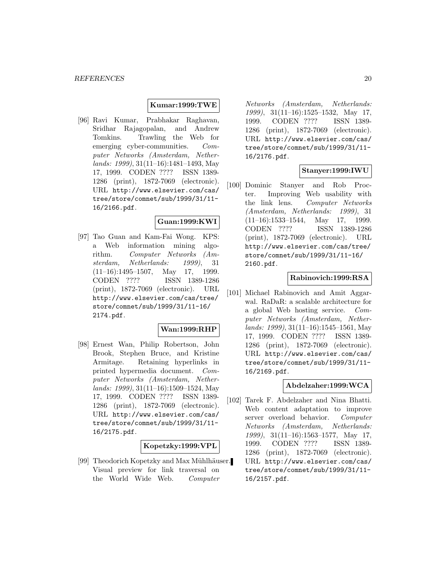#### **Kumar:1999:TWE**

[96] Ravi Kumar, Prabhakar Raghavan, Sridhar Rajagopalan, and Andrew Tomkins. Trawling the Web for emerging cyber-communities. Computer Networks (Amsterdam, Netherlands: 1999), 31(11–16):1481–1493, May 17, 1999. CODEN ???? ISSN 1389- 1286 (print), 1872-7069 (electronic). URL http://www.elsevier.com/cas/ tree/store/comnet/sub/1999/31/11- 16/2166.pdf.

### **Guan:1999:KWI**

[97] Tao Guan and Kam-Fai Wong. KPS: a Web information mining algorithm. Computer Networks (Amsterdam, Netherlands: 1999), 31  $(11-16):1495-1507$ , May 17, 1999. CODEN ???? ISSN 1389-1286 (print), 1872-7069 (electronic). URL http://www.elsevier.com/cas/tree/ store/comnet/sub/1999/31/11-16/ 2174.pdf.

#### **Wan:1999:RHP**

[98] Ernest Wan, Philip Robertson, John Brook, Stephen Bruce, and Kristine Armitage. Retaining hyperlinks in printed hypermedia document. Computer Networks (Amsterdam, Netherlands: 1999), 31(11–16):1509–1524, May 17, 1999. CODEN ???? ISSN 1389- 1286 (print), 1872-7069 (electronic). URL http://www.elsevier.com/cas/ tree/store/comnet/sub/1999/31/11- 16/2175.pdf.

### **Kopetzky:1999:VPL**

[99] Theodorich Kopetzky and Max Mühlhäuser. Visual preview for link traversal on the World Wide Web. Computer

Networks (Amsterdam, Netherlands: 1999), 31(11–16):1525–1532, May 17, 1999. CODEN ???? ISSN 1389- 1286 (print), 1872-7069 (electronic). URL http://www.elsevier.com/cas/ tree/store/comnet/sub/1999/31/11- 16/2176.pdf.

# **Stanyer:1999:IWU**

[100] Dominic Stanyer and Rob Procter. Improving Web usability with the link lens. Computer Networks (Amsterdam, Netherlands: 1999), 31 (11–16):1533–1544, May 17, 1999. CODEN ???? ISSN 1389-1286 (print), 1872-7069 (electronic). URL http://www.elsevier.com/cas/tree/ store/comnet/sub/1999/31/11-16/ 2160.pdf.

### **Rabinovich:1999:RSA**

[101] Michael Rabinovich and Amit Aggarwal. RaDaR: a scalable architecture for a global Web hosting service. Computer Networks (Amsterdam, Netherlands: 1999), 31(11–16):1545–1561, May 17, 1999. CODEN ???? ISSN 1389- 1286 (print), 1872-7069 (electronic). URL http://www.elsevier.com/cas/ tree/store/comnet/sub/1999/31/11- 16/2169.pdf.

### **Abdelzaher:1999:WCA**

[102] Tarek F. Abdelzaher and Nina Bhatti. Web content adaptation to improve server overload behavior. Computer Networks (Amsterdam, Netherlands: 1999), 31(11–16):1563–1577, May 17, 1999. CODEN ???? ISSN 1389- 1286 (print), 1872-7069 (electronic). URL http://www.elsevier.com/cas/ tree/store/comnet/sub/1999/31/11- 16/2157.pdf.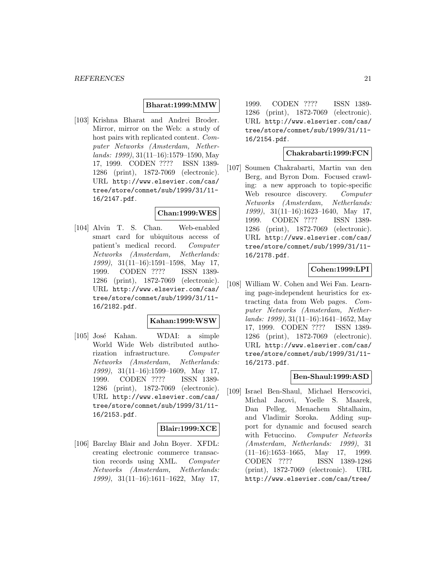### **Bharat:1999:MMW**

[103] Krishna Bharat and Andrei Broder. Mirror, mirror on the Web: a study of host pairs with replicated content. Computer Networks (Amsterdam, Netherlands: 1999), 31(11–16):1579–1590, May 17, 1999. CODEN ???? ISSN 1389- 1286 (print), 1872-7069 (electronic). URL http://www.elsevier.com/cas/ tree/store/comnet/sub/1999/31/11- 16/2147.pdf.

# **Chan:1999:WES**

[104] Alvin T. S. Chan. Web-enabled smart card for ubiquitous access of patient's medical record. Computer Networks (Amsterdam, Netherlands: 1999), 31(11–16):1591–1598, May 17, 1999. CODEN ???? ISSN 1389- 1286 (print), 1872-7069 (electronic). URL http://www.elsevier.com/cas/ tree/store/comnet/sub/1999/31/11- 16/2182.pdf.

### **Kahan:1999:WSW**

[105] José Kahan. WDAI: a simple World Wide Web distributed authorization infrastructure. Computer Networks (Amsterdam, Netherlands: 1999), 31(11–16):1599–1609, May 17, 1999. CODEN ???? ISSN 1389- 1286 (print), 1872-7069 (electronic). URL http://www.elsevier.com/cas/ tree/store/comnet/sub/1999/31/11- 16/2153.pdf.

#### **Blair:1999:XCE**

[106] Barclay Blair and John Boyer. XFDL: creating electronic commerce transaction records using XML. Computer Networks (Amsterdam, Netherlands: 1999), 31(11–16):1611–1622, May 17,

1999. CODEN ???? ISSN 1389- 1286 (print), 1872-7069 (electronic). URL http://www.elsevier.com/cas/ tree/store/comnet/sub/1999/31/11- 16/2154.pdf.

### **Chakrabarti:1999:FCN**

[107] Soumen Chakrabarti, Martin van den Berg, and Byron Dom. Focused crawling: a new approach to topic-specific Web resource discovery. Computer Networks (Amsterdam, Netherlands: 1999), 31(11–16):1623–1640, May 17, 1999. CODEN ???? ISSN 1389- 1286 (print), 1872-7069 (electronic). URL http://www.elsevier.com/cas/ tree/store/comnet/sub/1999/31/11- 16/2178.pdf.

# **Cohen:1999:LPI**

[108] William W. Cohen and Wei Fan. Learning page-independent heuristics for extracting data from Web pages. Computer Networks (Amsterdam, Netherlands: 1999), 31(11–16):1641–1652, May 17, 1999. CODEN ???? ISSN 1389- 1286 (print), 1872-7069 (electronic). URL http://www.elsevier.com/cas/ tree/store/comnet/sub/1999/31/11- 16/2173.pdf.

### **Ben-Shaul:1999:ASD**

[109] Israel Ben-Shaul, Michael Herscovici, Michal Jacovi, Yoelle S. Maarek, Dan Pelleg, Menachem Shtalhaim, and Vladimir Soroka. Adding support for dynamic and focused search with Fetuccino. Computer Networks (Amsterdam, Netherlands: 1999), 31  $(11-16):1653-1665$ , May 17, 1999. CODEN ???? ISSN 1389-1286 (print), 1872-7069 (electronic). URL http://www.elsevier.com/cas/tree/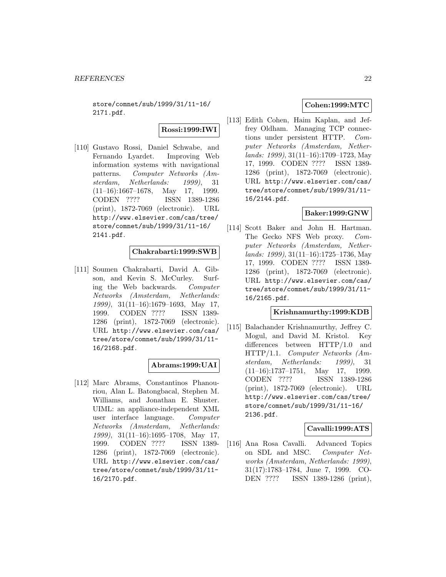store/comnet/sub/1999/31/11-16/ 2171.pdf.

## **Rossi:1999:IWI**

[110] Gustavo Rossi, Daniel Schwabe, and Fernando Lyardet. Improving Web information systems with navigational patterns. Computer Networks (Amsterdam, Netherlands: 1999), 31 (11–16):1667–1678, May 17, 1999. CODEN ???? ISSN 1389-1286 (print), 1872-7069 (electronic). URL http://www.elsevier.com/cas/tree/ store/comnet/sub/1999/31/11-16/ 2141.pdf.

# **Chakrabarti:1999:SWB**

[111] Soumen Chakrabarti, David A. Gibson, and Kevin S. McCurley. Surfing the Web backwards. Computer Networks (Amsterdam, Netherlands: 1999), 31(11–16):1679–1693, May 17, 1999. CODEN ???? ISSN 1389- 1286 (print), 1872-7069 (electronic). URL http://www.elsevier.com/cas/ tree/store/comnet/sub/1999/31/11- 16/2168.pdf.

### **Abrams:1999:UAI**

[112] Marc Abrams, Constantinos Phanouriou, Alan L. Batongbacal, Stephen M. Williams, and Jonathan E. Shuster. UIML: an appliance-independent XML user interface language. Computer Networks (Amsterdam, Netherlands: 1999), 31(11–16):1695–1708, May 17, 1999. CODEN ???? ISSN 1389- 1286 (print), 1872-7069 (electronic). URL http://www.elsevier.com/cas/ tree/store/comnet/sub/1999/31/11- 16/2170.pdf.

# **Cohen:1999:MTC**

[113] Edith Cohen, Haim Kaplan, and Jeffrey Oldham. Managing TCP connections under persistent HTTP. Computer Networks (Amsterdam, Netherlands: 1999), 31(11–16):1709–1723, May 17, 1999. CODEN ???? ISSN 1389- 1286 (print), 1872-7069 (electronic). URL http://www.elsevier.com/cas/ tree/store/comnet/sub/1999/31/11- 16/2144.pdf.

# **Baker:1999:GNW**

[114] Scott Baker and John H. Hartman. The Gecko NFS Web proxy. Computer Networks (Amsterdam, Netherlands: 1999), 31(11–16):1725–1736, May 17, 1999. CODEN ???? ISSN 1389- 1286 (print), 1872-7069 (electronic). URL http://www.elsevier.com/cas/ tree/store/comnet/sub/1999/31/11- 16/2165.pdf.

# **Krishnamurthy:1999:KDB**

[115] Balachander Krishnamurthy, Jeffrey C. Mogul, and David M. Kristol. Key differences between HTTP/1.0 and HTTP/1.1. Computer Networks (Amsterdam, Netherlands: 1999), 31 (11–16):1737–1751, May 17, 1999. CODEN ???? ISSN 1389-1286 (print), 1872-7069 (electronic). URL http://www.elsevier.com/cas/tree/ store/comnet/sub/1999/31/11-16/ 2136.pdf.

### **Cavalli:1999:ATS**

[116] Ana Rosa Cavalli. Advanced Topics on SDL and MSC. Computer Networks (Amsterdam, Netherlands: 1999), 31(17):1783–1784, June 7, 1999. CO-DEN ???? ISSN 1389-1286 (print),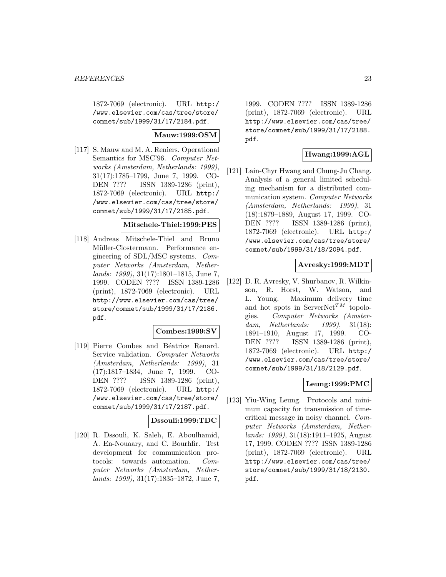1872-7069 (electronic). URL http:/ /www.elsevier.com/cas/tree/store/ comnet/sub/1999/31/17/2184.pdf.

### **Mauw:1999:OSM**

[117] S. Mauw and M. A. Reniers. Operational Semantics for MSC'96. Computer Networks (Amsterdam, Netherlands: 1999), 31(17):1785–1799, June 7, 1999. CO-DEN ???? ISSN 1389-1286 (print), 1872-7069 (electronic). URL http:/ /www.elsevier.com/cas/tree/store/ comnet/sub/1999/31/17/2185.pdf.

### **Mitschele-Thiel:1999:PES**

[118] Andreas Mitschele-Thiel and Bruno Müller-Clostermann. Performance engineering of SDL/MSC systems. Computer Networks (Amsterdam, Netherlands: 1999), 31(17):1801–1815, June 7, 1999. CODEN ???? ISSN 1389-1286 (print), 1872-7069 (electronic). URL http://www.elsevier.com/cas/tree/ store/comnet/sub/1999/31/17/2186. pdf.

### **Combes:1999:SV**

[119] Pierre Combes and Béatrice Renard. Service validation. Computer Networks (Amsterdam, Netherlands: 1999), 31 (17):1817–1834, June 7, 1999. CO-DEN ???? ISSN 1389-1286 (print), 1872-7069 (electronic). URL http:/ /www.elsevier.com/cas/tree/store/ comnet/sub/1999/31/17/2187.pdf.

# **Dssouli:1999:TDC**

[120] R. Dssouli, K. Saleh, E. Aboulhamid, A. En-Nouaary, and C. Bourhfir. Test development for communication protocols: towards automation. Computer Networks (Amsterdam, Netherlands: 1999), 31(17):1835–1872, June 7,

1999. CODEN ???? ISSN 1389-1286 (print), 1872-7069 (electronic). URL http://www.elsevier.com/cas/tree/ store/comnet/sub/1999/31/17/2188. pdf.

# **Hwang:1999:AGL**

[121] Lain-Chyr Hwang and Chung-Ju Chang. Analysis of a general limited scheduling mechanism for a distributed communication system. Computer Networks (Amsterdam, Netherlands: 1999), 31 (18):1879–1889, August 17, 1999. CO-DEN ???? ISSN 1389-1286 (print), 1872-7069 (electronic). URL http:/ /www.elsevier.com/cas/tree/store/ comnet/sub/1999/31/18/2094.pdf.

# **Avresky:1999:MDT**

[122] D. R. Avresky, V. Shurbanov, R. Wilkinson, R. Horst, W. Watson, and L. Young. Maximum delivery time and hot spots in ServerNet<sup>TM</sup> topologies. Computer Networks (Amsterdam, Netherlands: 1999), 31(18): 1891–1910, August 17, 1999. CO-DEN ???? ISSN 1389-1286 (print), 1872-7069 (electronic). URL http:/ /www.elsevier.com/cas/tree/store/ comnet/sub/1999/31/18/2129.pdf.

# **Leung:1999:PMC**

[123] Yiu-Wing Leung. Protocols and minimum capacity for transmission of timecritical message in noisy channel. Computer Networks (Amsterdam, Netherlands: 1999), 31(18):1911–1925, August 17, 1999. CODEN ???? ISSN 1389-1286 (print), 1872-7069 (electronic). URL http://www.elsevier.com/cas/tree/ store/comnet/sub/1999/31/18/2130. pdf.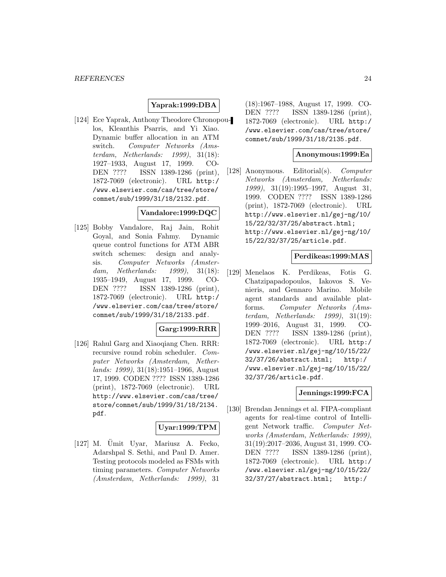### **Yaprak:1999:DBA**

[124] Ece Yaprak, Anthony Theodore Chronopoulos, Kleanthis Psarris, and Yi Xiao. Dynamic buffer allocation in an ATM switch. Computer Networks (Amsterdam, Netherlands: 1999), 31(18): 1927–1933, August 17, 1999. CO-DEN ???? ISSN 1389-1286 (print), 1872-7069 (electronic). URL http:/ /www.elsevier.com/cas/tree/store/ comnet/sub/1999/31/18/2132.pdf.

### **Vandalore:1999:DQC**

[125] Bobby Vandalore, Raj Jain, Rohit Goyal, and Sonia Fahmy. Dynamic queue control functions for ATM ABR switch schemes: design and analysis. Computer Networks (Amsterdam, Netherlands: 1999), 31(18): 1935–1949, August 17, 1999. CO-DEN ???? ISSN 1389-1286 (print), 1872-7069 (electronic). URL http:/ /www.elsevier.com/cas/tree/store/ comnet/sub/1999/31/18/2133.pdf.

### **Garg:1999:RRR**

[126] Rahul Garg and Xiaoqiang Chen. RRR: recursive round robin scheduler. Computer Networks (Amsterdam, Netherlands: 1999), 31(18):1951–1966, August 17, 1999. CODEN ???? ISSN 1389-1286 (print), 1872-7069 (electronic). URL http://www.elsevier.com/cas/tree/ store/comnet/sub/1999/31/18/2134. pdf.

#### **Uyar:1999:TPM**

 $[127]$  M. Umit Uyar, Mariusz A. Fecko, Adarshpal S. Sethi, and Paul D. Amer. Testing protocols modeled as FSMs with timing parameters. Computer Networks (Amsterdam, Netherlands: 1999), 31

(18):1967–1988, August 17, 1999. CO-DEN ???? ISSN 1389-1286 (print), 1872-7069 (electronic). URL http:/ /www.elsevier.com/cas/tree/store/ comnet/sub/1999/31/18/2135.pdf.

#### **Anonymous:1999:Ea**

[128] Anonymous. Editorial(s). Computer Networks (Amsterdam, Netherlands: 1999), 31(19):1995–1997, August 31, 1999. CODEN ???? ISSN 1389-1286 (print), 1872-7069 (electronic). URL http://www.elsevier.nl/gej-ng/10/ 15/22/32/37/25/abstract.html; http://www.elsevier.nl/gej-ng/10/ 15/22/32/37/25/article.pdf.

### **Perdikeas:1999:MAS**

[129] Menelaos K. Perdikeas, Fotis G. Chatzipapadopoulos, Iakovos S. Venieris, and Gennaro Marino. Mobile agent standards and available platforms. Computer Networks (Amsterdam, Netherlands: 1999), 31(19): 1999–2016, August 31, 1999. CO-DEN ???? ISSN 1389-1286 (print), 1872-7069 (electronic). URL http:/ /www.elsevier.nl/gej-ng/10/15/22/ 32/37/26/abstract.html; http:/ /www.elsevier.nl/gej-ng/10/15/22/ 32/37/26/article.pdf.

#### **Jennings:1999:FCA**

[130] Brendan Jennings et al. FIPA-compliant agents for real-time control of Intelligent Network traffic. Computer Networks (Amsterdam, Netherlands: 1999), 31(19):2017–2036, August 31, 1999. CO-DEN ???? ISSN 1389-1286 (print), 1872-7069 (electronic). URL http:/ /www.elsevier.nl/gej-ng/10/15/22/ 32/37/27/abstract.html; http:/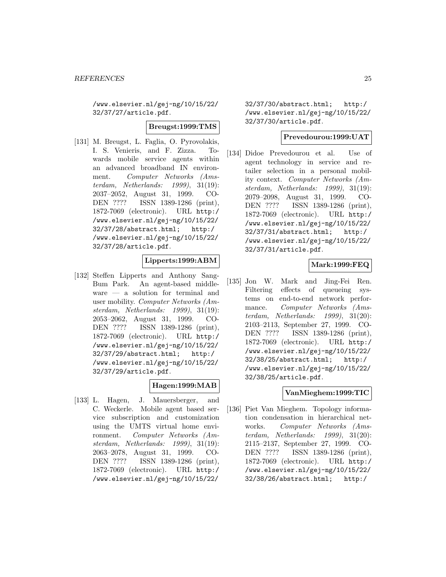/www.elsevier.nl/gej-ng/10/15/22/ 32/37/27/article.pdf.

### **Breugst:1999:TMS**

[131] M. Breugst, L. Faglia, O. Pyrovolakis, I. S. Venieris, and F. Zizza. Towards mobile service agents within an advanced broadband IN environment. Computer Networks (Amsterdam, Netherlands: 1999), 31(19): 2037–2052, August 31, 1999. CO-DEN ???? ISSN 1389-1286 (print), 1872-7069 (electronic). URL http:/ /www.elsevier.nl/gej-ng/10/15/22/ 32/37/28/abstract.html; http:/ /www.elsevier.nl/gej-ng/10/15/22/ 32/37/28/article.pdf.

### **Lipperts:1999:ABM**

[132] Steffen Lipperts and Anthony Sang-Bum Park. An agent-based middleware — a solution for terminal and user mobility. Computer Networks (Amsterdam, Netherlands: 1999), 31(19): 2053–2062, August 31, 1999. CO-DEN ???? ISSN 1389-1286 (print), 1872-7069 (electronic). URL http:/ /www.elsevier.nl/gej-ng/10/15/22/ 32/37/29/abstract.html; http:/ /www.elsevier.nl/gej-ng/10/15/22/ 32/37/29/article.pdf.

### **Hagen:1999:MAB**

[133] L. Hagen, J. Mauersberger, and C. Weckerle. Mobile agent based service subscription and customization using the UMTS virtual home environment. Computer Networks (Amsterdam, Netherlands: 1999), 31(19): 2063–2078, August 31, 1999. CO-DEN ???? ISSN 1389-1286 (print), 1872-7069 (electronic). URL http:/ /www.elsevier.nl/gej-ng/10/15/22/

32/37/30/abstract.html; http:/ /www.elsevier.nl/gej-ng/10/15/22/ 32/37/30/article.pdf.

#### **Prevedourou:1999:UAT**

[134] Didoe Prevedourou et al. Use of agent technology in service and retailer selection in a personal mobility context. Computer Networks (Amsterdam, Netherlands: 1999), 31(19): 2079–2098, August 31, 1999. CO-DEN ???? ISSN 1389-1286 (print), 1872-7069 (electronic). URL http:/ /www.elsevier.nl/gej-ng/10/15/22/ 32/37/31/abstract.html; http:/ /www.elsevier.nl/gej-ng/10/15/22/ 32/37/31/article.pdf.

# **Mark:1999:FEQ**

[135] Jon W. Mark and Jing-Fei Ren. Filtering effects of queueing systems on end-to-end network performance. Computer Networks (Amsterdam, Netherlands: 1999), 31(20): 2103–2113, September 27, 1999. CO-DEN ???? ISSN 1389-1286 (print), 1872-7069 (electronic). URL http:/ /www.elsevier.nl/gej-ng/10/15/22/ 32/38/25/abstract.html; http:/ /www.elsevier.nl/gej-ng/10/15/22/ 32/38/25/article.pdf.

### **VanMieghem:1999:TIC**

[136] Piet Van Mieghem. Topology information condensation in hierarchical networks. Computer Networks (Amsterdam, Netherlands: 1999), 31(20): 2115–2137, September 27, 1999. CO-DEN ???? ISSN 1389-1286 (print), 1872-7069 (electronic). URL http:/ /www.elsevier.nl/gej-ng/10/15/22/ 32/38/26/abstract.html; http:/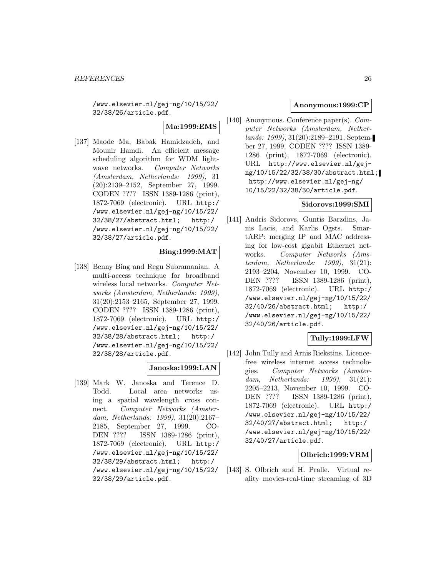/www.elsevier.nl/gej-ng/10/15/22/ 32/38/26/article.pdf.

# **Ma:1999:EMS**

[137] Maode Ma, Babak Hamidzadeh, and Mounir Hamdi. An efficient message scheduling algorithm for WDM lightwave networks. Computer Networks (Amsterdam, Netherlands: 1999), 31 (20):2139–2152, September 27, 1999. CODEN ???? ISSN 1389-1286 (print), 1872-7069 (electronic). URL http:/ /www.elsevier.nl/gej-ng/10/15/22/ 32/38/27/abstract.html; http:/ /www.elsevier.nl/gej-ng/10/15/22/ 32/38/27/article.pdf.

# **Bing:1999:MAT**

[138] Benny Bing and Regu Subramanian. A multi-access technique for broadband wireless local networks. Computer Networks (Amsterdam, Netherlands: 1999), 31(20):2153–2165, September 27, 1999. CODEN ???? ISSN 1389-1286 (print), 1872-7069 (electronic). URL http:/ /www.elsevier.nl/gej-ng/10/15/22/ 32/38/28/abstract.html; http:/ /www.elsevier.nl/gej-ng/10/15/22/ 32/38/28/article.pdf.

### **Janoska:1999:LAN**

[139] Mark W. Janoska and Terence D. Todd. Local area networks using a spatial wavelength cross connect. Computer Networks (Amsterdam, Netherlands: 1999), 31(20):2167– 2185, September 27, 1999. CO-DEN ???? ISSN 1389-1286 (print), 1872-7069 (electronic). URL http:/ /www.elsevier.nl/gej-ng/10/15/22/ 32/38/29/abstract.html; http:/ /www.elsevier.nl/gej-ng/10/15/22/ 32/38/29/article.pdf.

### **Anonymous:1999:CP**

[140] Anonymous. Conference paper(s). Computer Networks (Amsterdam, Netherlands: 1999), 31(20):2189–2191, September 27, 1999. CODEN ???? ISSN 1389- 1286 (print), 1872-7069 (electronic). URL http://www.elsevier.nl/gejng/10/15/22/32/38/30/abstract.html; http://www.elsevier.nl/gej-ng/ 10/15/22/32/38/30/article.pdf.

# **Sidorovs:1999:SMI**

[141] Andris Sidorovs, Guntis Barzdins, Janis Lacis, and Karlis Ogsts. SmartARP: merging IP and MAC addressing for low-cost gigabit Ethernet networks. Computer Networks (Amsterdam, Netherlands: 1999), 31(21): 2193–2204, November 10, 1999. CO-DEN ???? ISSN 1389-1286 (print), 1872-7069 (electronic). URL http:/ /www.elsevier.nl/gej-ng/10/15/22/ 32/40/26/abstract.html; http:/ /www.elsevier.nl/gej-ng/10/15/22/ 32/40/26/article.pdf.

# **Tully:1999:LFW**

[142] John Tully and Arnis Riekstins. Licencefree wireless internet access technologies. Computer Networks (Amsterdam, Netherlands: 1999), 31(21): 2205–2213, November 10, 1999. CO-DEN ???? ISSN 1389-1286 (print), 1872-7069 (electronic). URL http:/ /www.elsevier.nl/gej-ng/10/15/22/ 32/40/27/abstract.html; http:/ /www.elsevier.nl/gej-ng/10/15/22/ 32/40/27/article.pdf.

# **Olbrich:1999:VRM**

[143] S. Olbrich and H. Pralle. Virtual reality movies-real-time streaming of 3D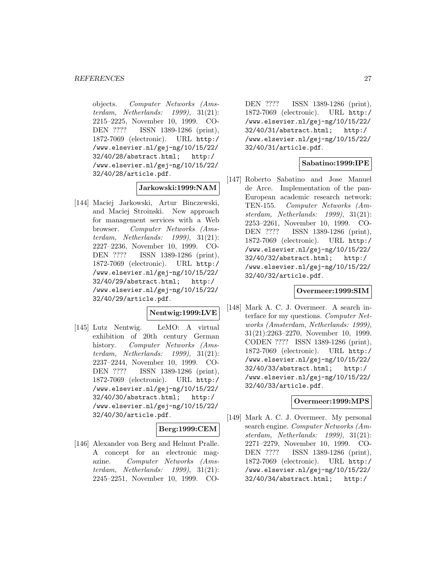objects. Computer Networks (Amsterdam, Netherlands: 1999), 31(21): 2215–2225, November 10, 1999. CO-DEN ???? ISSN 1389-1286 (print), 1872-7069 (electronic). URL http:/ /www.elsevier.nl/gej-ng/10/15/22/ 32/40/28/abstract.html; http:/ /www.elsevier.nl/gej-ng/10/15/22/ 32/40/28/article.pdf.

# **Jarkowski:1999:NAM**

[144] Maciej Jarkowski, Artur Binczewski, and Maciej Stroinski. New approach for management services with a Web browser. Computer Networks (Amsterdam, Netherlands: 1999), 31(21): 2227–2236, November 10, 1999. CO-DEN ???? ISSN 1389-1286 (print), 1872-7069 (electronic). URL http:/ /www.elsevier.nl/gej-ng/10/15/22/ 32/40/29/abstract.html; http:/ /www.elsevier.nl/gej-ng/10/15/22/ 32/40/29/article.pdf.

### **Nentwig:1999:LVE**

[145] Lutz Nentwig. LeMO: A virtual exhibition of 20th century German history. Computer Networks (Amsterdam, Netherlands: 1999), 31(21): 2237–2244, November 10, 1999. CO-DEN ???? ISSN 1389-1286 (print), 1872-7069 (electronic). URL http:/ /www.elsevier.nl/gej-ng/10/15/22/ 32/40/30/abstract.html; http:/ /www.elsevier.nl/gej-ng/10/15/22/ 32/40/30/article.pdf.

# **Berg:1999:CEM**

[146] Alexander von Berg and Helmut Pralle. A concept for an electronic magazine. Computer Networks (Amsterdam, Netherlands: 1999), 31(21): 2245–2251, November 10, 1999. CO-

DEN ???? ISSN 1389-1286 (print), 1872-7069 (electronic). URL http:/ /www.elsevier.nl/gej-ng/10/15/22/ 32/40/31/abstract.html; http:/ /www.elsevier.nl/gej-ng/10/15/22/ 32/40/31/article.pdf.

# **Sabatino:1999:IPE**

[147] Roberto Sabatino and Jose Manuel de Arce. Implementation of the pan-European academic research network: TEN-155. Computer Networks (Amsterdam, Netherlands: 1999), 31(21): 2253–2261, November 10, 1999. CO-DEN ???? ISSN 1389-1286 (print), 1872-7069 (electronic). URL http:/ /www.elsevier.nl/gej-ng/10/15/22/ 32/40/32/abstract.html; http:/ /www.elsevier.nl/gej-ng/10/15/22/ 32/40/32/article.pdf.

### **Overmeer:1999:SIM**

[148] Mark A. C. J. Overmeer. A search interface for my questions. Computer Networks (Amsterdam, Netherlands: 1999), 31(21):2263–2270, November 10, 1999. CODEN ???? ISSN 1389-1286 (print), 1872-7069 (electronic). URL http:/ /www.elsevier.nl/gej-ng/10/15/22/ 32/40/33/abstract.html; http:/ /www.elsevier.nl/gej-ng/10/15/22/ 32/40/33/article.pdf.

### **Overmeer:1999:MPS**

[149] Mark A. C. J. Overmeer. My personal search engine. Computer Networks (Amsterdam, Netherlands: 1999), 31(21): 2271–2279, November 10, 1999. CO-DEN ???? ISSN 1389-1286 (print), 1872-7069 (electronic). URL http:/ /www.elsevier.nl/gej-ng/10/15/22/ 32/40/34/abstract.html; http:/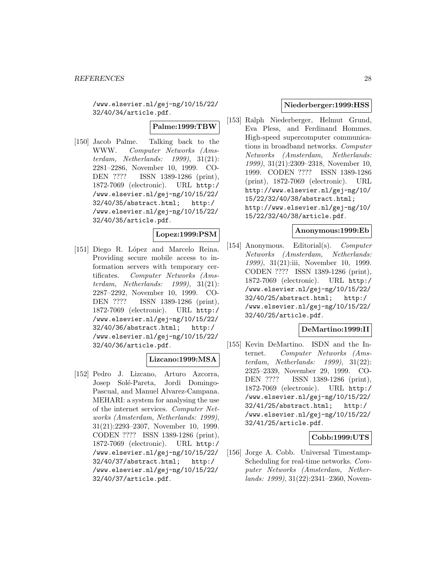/www.elsevier.nl/gej-ng/10/15/22/ 32/40/34/article.pdf.

### **Palme:1999:TBW**

[150] Jacob Palme. Talking back to the WWW. Computer Networks (Amsterdam, Netherlands: 1999), 31(21): 2281–2286, November 10, 1999. CO-DEN ???? ISSN 1389-1286 (print), 1872-7069 (electronic). URL http:/ /www.elsevier.nl/gej-ng/10/15/22/ 32/40/35/abstract.html; http:/ /www.elsevier.nl/gej-ng/10/15/22/ 32/40/35/article.pdf.

# **Lopez:1999:PSM**

[151] Diego R. López and Marcelo Reina. Providing secure mobile access to information servers with temporary certificates. Computer Networks (Amsterdam, Netherlands: 1999), 31(21): 2287–2292, November 10, 1999. CO-DEN ???? ISSN 1389-1286 (print), 1872-7069 (electronic). URL http:/ /www.elsevier.nl/gej-ng/10/15/22/ 32/40/36/abstract.html; http:/ /www.elsevier.nl/gej-ng/10/15/22/ 32/40/36/article.pdf.

### **Lizcano:1999:MSA**

[152] Pedro J. Lizcano, Arturo Azcorra, Josep Solé-Pareta, Jordi Domingo-Pascual, and Manuel Alvarez-Campana. MEHARI: a system for analysing the use of the internet services. Computer Networks (Amsterdam, Netherlands: 1999), 31(21):2293–2307, November 10, 1999. CODEN ???? ISSN 1389-1286 (print), 1872-7069 (electronic). URL http:/ /www.elsevier.nl/gej-ng/10/15/22/ 32/40/37/abstract.html; http:/ /www.elsevier.nl/gej-ng/10/15/22/ 32/40/37/article.pdf.

### **Niederberger:1999:HSS**

[153] Ralph Niederberger, Helmut Grund, Eva Pless, and Ferdinand Hommes. High-speed supercomputer communications in broadband networks. Computer Networks (Amsterdam, Netherlands: 1999), 31(21):2309–2318, November 10, 1999. CODEN ???? ISSN 1389-1286 (print), 1872-7069 (electronic). URL http://www.elsevier.nl/gej-ng/10/ 15/22/32/40/38/abstract.html; http://www.elsevier.nl/gej-ng/10/ 15/22/32/40/38/article.pdf.

### **Anonymous:1999:Eb**

[154] Anonymous. Editorial(s). Computer Networks (Amsterdam, Netherlands: 1999), 31(21):iii, November 10, 1999. CODEN ???? ISSN 1389-1286 (print), 1872-7069 (electronic). URL http:/ /www.elsevier.nl/gej-ng/10/15/22/ 32/40/25/abstract.html; http:/ /www.elsevier.nl/gej-ng/10/15/22/ 32/40/25/article.pdf.

### **DeMartino:1999:II**

[155] Kevin DeMartino. ISDN and the Internet. Computer Networks (Amsterdam, Netherlands: 1999), 31(22): 2325–2339, November 29, 1999. CO-DEN ???? ISSN 1389-1286 (print), 1872-7069 (electronic). URL http:/ /www.elsevier.nl/gej-ng/10/15/22/ 32/41/25/abstract.html; http:/ /www.elsevier.nl/gej-ng/10/15/22/ 32/41/25/article.pdf.

### **Cobb:1999:UTS**

[156] Jorge A. Cobb. Universal Timestamp-Scheduling for real-time networks. Computer Networks (Amsterdam, Netherlands: 1999), 31(22):2341–2360, Novem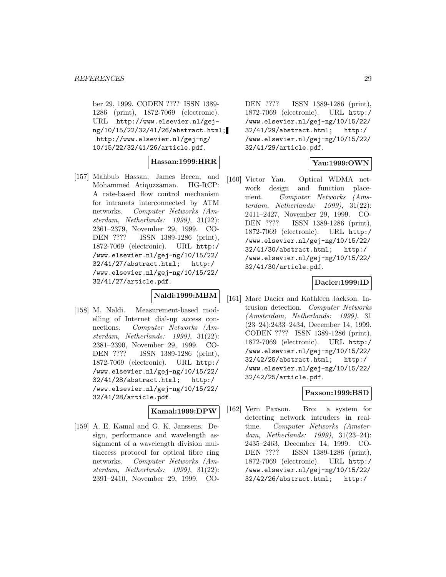ber 29, 1999. CODEN ???? ISSN 1389- 1286 (print), 1872-7069 (electronic). URL http://www.elsevier.nl/gejng/10/15/22/32/41/26/abstract.html; http://www.elsevier.nl/gej-ng/ 10/15/22/32/41/26/article.pdf.

### **Hassan:1999:HRR**

[157] Mahbub Hassan, James Breen, and Mohammed Atiquzzaman. HG-RCP: A rate-based flow control mechanism for intranets interconnected by ATM networks. Computer Networks (Amsterdam, Netherlands: 1999), 31(22): 2361–2379, November 29, 1999. CO-DEN ???? ISSN 1389-1286 (print), 1872-7069 (electronic). URL http:/ /www.elsevier.nl/gej-ng/10/15/22/ 32/41/27/abstract.html; http:/ /www.elsevier.nl/gej-ng/10/15/22/ 32/41/27/article.pdf.

# **Naldi:1999:MBM**

[158] M. Naldi. Measurement-based modelling of Internet dial-up access connections. Computer Networks (Amsterdam, Netherlands: 1999), 31(22): 2381–2390, November 29, 1999. CO-DEN ???? ISSN 1389-1286 (print), 1872-7069 (electronic). URL http:/ /www.elsevier.nl/gej-ng/10/15/22/ 32/41/28/abstract.html; http:/ /www.elsevier.nl/gej-ng/10/15/22/ 32/41/28/article.pdf.

#### **Kamal:1999:DPW**

[159] A. E. Kamal and G. K. Janssens. Design, performance and wavelength assignment of a wavelength division multiaccess protocol for optical fibre ring networks. Computer Networks (Amsterdam, Netherlands: 1999), 31(22): 2391–2410, November 29, 1999. CO-

DEN ???? ISSN 1389-1286 (print), 1872-7069 (electronic). URL http:/ /www.elsevier.nl/gej-ng/10/15/22/ 32/41/29/abstract.html; http:/ /www.elsevier.nl/gej-ng/10/15/22/ 32/41/29/article.pdf.

# **Yau:1999:OWN**

[160] Victor Yau. Optical WDMA network design and function placement. Computer Networks (Amsterdam, Netherlands: 1999), 31(22): 2411–2427, November 29, 1999. CO-DEN ???? ISSN 1389-1286 (print), 1872-7069 (electronic). URL http:/ /www.elsevier.nl/gej-ng/10/15/22/ 32/41/30/abstract.html; http:/ /www.elsevier.nl/gej-ng/10/15/22/ 32/41/30/article.pdf.

### **Dacier:1999:ID**

[161] Marc Dacier and Kathleen Jackson. Intrusion detection. Computer Networks (Amsterdam, Netherlands: 1999), 31 (23–24):2433–2434, December 14, 1999. CODEN ???? ISSN 1389-1286 (print), 1872-7069 (electronic). URL http:/ /www.elsevier.nl/gej-ng/10/15/22/ 32/42/25/abstract.html; http:/ /www.elsevier.nl/gej-ng/10/15/22/ 32/42/25/article.pdf.

# **Paxson:1999:BSD**

[162] Vern Paxson. Bro: a system for detecting network intruders in realtime. Computer Networks (Amsterdam, Netherlands: 1999), 31(23–24): 2435–2463, December 14, 1999. CO-DEN ???? ISSN 1389-1286 (print), 1872-7069 (electronic). URL http:/ /www.elsevier.nl/gej-ng/10/15/22/ 32/42/26/abstract.html; http:/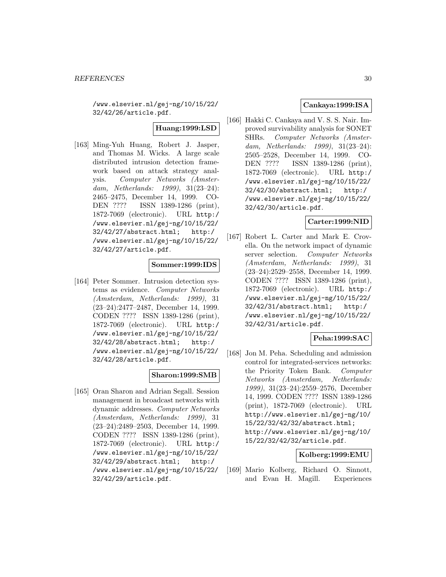/www.elsevier.nl/gej-ng/10/15/22/ 32/42/26/article.pdf.

# **Huang:1999:LSD**

[163] Ming-Yuh Huang, Robert J. Jasper, and Thomas M. Wicks. A large scale distributed intrusion detection framework based on attack strategy analysis. Computer Networks (Amsterdam, Netherlands: 1999), 31(23–24): 2465–2475, December 14, 1999. CO-DEN ???? ISSN 1389-1286 (print), 1872-7069 (electronic). URL http:/ /www.elsevier.nl/gej-ng/10/15/22/ 32/42/27/abstract.html; http:/ /www.elsevier.nl/gej-ng/10/15/22/ 32/42/27/article.pdf.

# **Sommer:1999:IDS**

[164] Peter Sommer. Intrusion detection systems as evidence. Computer Networks (Amsterdam, Netherlands: 1999), 31 (23–24):2477–2487, December 14, 1999. CODEN ???? ISSN 1389-1286 (print), 1872-7069 (electronic). URL http:/ /www.elsevier.nl/gej-ng/10/15/22/ 32/42/28/abstract.html; http:/ /www.elsevier.nl/gej-ng/10/15/22/ 32/42/28/article.pdf.

### **Sharon:1999:SMB**

[165] Oran Sharon and Adrian Segall. Session management in broadcast networks with dynamic addresses. Computer Networks (Amsterdam, Netherlands: 1999), 31 (23–24):2489–2503, December 14, 1999. CODEN ???? ISSN 1389-1286 (print), 1872-7069 (electronic). URL http:/ /www.elsevier.nl/gej-ng/10/15/22/ 32/42/29/abstract.html; http:/ /www.elsevier.nl/gej-ng/10/15/22/ 32/42/29/article.pdf.

# **Cankaya:1999:ISA**

[166] Hakki C. Cankaya and V. S. S. Nair. Improved survivability analysis for SONET SHRs. Computer Networks (Amsterdam, Netherlands: 1999), 31(23–24): 2505–2528, December 14, 1999. CO-DEN ???? ISSN 1389-1286 (print), 1872-7069 (electronic). URL http:/ /www.elsevier.nl/gej-ng/10/15/22/ 32/42/30/abstract.html; http:/ /www.elsevier.nl/gej-ng/10/15/22/ 32/42/30/article.pdf.

#### **Carter:1999:NID**

[167] Robert L. Carter and Mark E. Crovella. On the network impact of dynamic server selection. Computer Networks (Amsterdam, Netherlands: 1999), 31 (23–24):2529–2558, December 14, 1999. CODEN ???? ISSN 1389-1286 (print), 1872-7069 (electronic). URL http:/ /www.elsevier.nl/gej-ng/10/15/22/ 32/42/31/abstract.html; http:/ /www.elsevier.nl/gej-ng/10/15/22/ 32/42/31/article.pdf.

# **Peha:1999:SAC**

[168] Jon M. Peha. Scheduling and admission control for integrated-services networks: the Priority Token Bank. Computer Networks (Amsterdam, Netherlands: 1999), 31(23–24):2559–2576, December 14, 1999. CODEN ???? ISSN 1389-1286 (print), 1872-7069 (electronic). URL http://www.elsevier.nl/gej-ng/10/ 15/22/32/42/32/abstract.html; http://www.elsevier.nl/gej-ng/10/ 15/22/32/42/32/article.pdf.

#### **Kolberg:1999:EMU**

[169] Mario Kolberg, Richard O. Sinnott, and Evan H. Magill. Experiences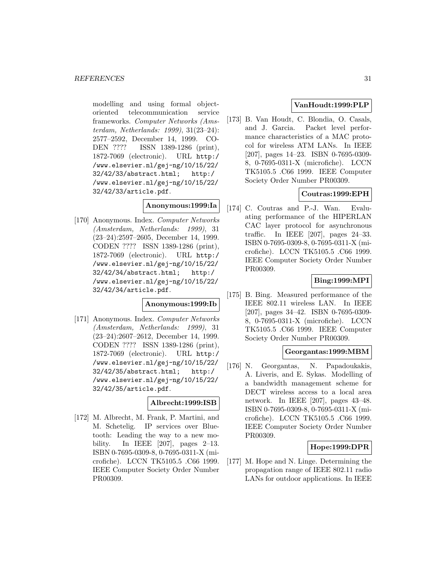modelling and using formal objectoriented telecommunication service frameworks. Computer Networks (Amsterdam, Netherlands: 1999), 31(23–24): 2577–2592, December 14, 1999. CO-DEN ???? ISSN 1389-1286 (print), 1872-7069 (electronic). URL http:/ /www.elsevier.nl/gej-ng/10/15/22/ 32/42/33/abstract.html; http:/ /www.elsevier.nl/gej-ng/10/15/22/ 32/42/33/article.pdf.

### **Anonymous:1999:Ia**

[170] Anonymous. Index. Computer Networks (Amsterdam, Netherlands: 1999), 31 (23–24):2597–2605, December 14, 1999. CODEN ???? ISSN 1389-1286 (print), 1872-7069 (electronic). URL http:/ /www.elsevier.nl/gej-ng/10/15/22/ 32/42/34/abstract.html; http:/ /www.elsevier.nl/gej-ng/10/15/22/ 32/42/34/article.pdf.

#### **Anonymous:1999:Ib**

[171] Anonymous. Index. Computer Networks (Amsterdam, Netherlands: 1999), 31 (23–24):2607–2612, December 14, 1999. CODEN ???? ISSN 1389-1286 (print), 1872-7069 (electronic). URL http:/ /www.elsevier.nl/gej-ng/10/15/22/ 32/42/35/abstract.html; http:/ /www.elsevier.nl/gej-ng/10/15/22/ 32/42/35/article.pdf.

### **Albrecht:1999:ISB**

[172] M. Albrecht, M. Frank, P. Martini, and M. Schetelig. IP services over Bluetooth: Leading the way to a new mobility. In IEEE [207], pages 2–13. ISBN 0-7695-0309-8, 0-7695-0311-X (microfiche). LCCN TK5105.5 .C66 1999. IEEE Computer Society Order Number PR00309.

# **VanHoudt:1999:PLP**

[173] B. Van Houdt, C. Blondia, O. Casals, and J. Garcia. Packet level performance characteristics of a MAC protocol for wireless ATM LANs. In IEEE [207], pages 14–23. ISBN 0-7695-0309- 8, 0-7695-0311-X (microfiche). LCCN TK5105.5 .C66 1999. IEEE Computer Society Order Number PR00309.

# **Coutras:1999:EPH**

[174] C. Coutras and P.-J. Wan. Evaluating performance of the HIPERLAN CAC layer protocol for asynchronous traffic. In IEEE [207], pages 24–33. ISBN 0-7695-0309-8, 0-7695-0311-X (microfiche). LCCN TK5105.5 .C66 1999. IEEE Computer Society Order Number PR00309.

# **Bing:1999:MPI**

[175] B. Bing. Measured performance of the IEEE 802.11 wireless LAN. In IEEE [207], pages 34–42. ISBN 0-7695-0309- 8, 0-7695-0311-X (microfiche). LCCN TK5105.5 .C66 1999. IEEE Computer Society Order Number PR00309.

### **Georgantas:1999:MBM**

[176] N. Georgantas, N. Papadoukakis, A. Liveris, and E. Sykas. Modelling of a bandwidth management scheme for DECT wireless access to a local area network. In IEEE [207], pages 43–48. ISBN 0-7695-0309-8, 0-7695-0311-X (microfiche). LCCN TK5105.5 .C66 1999. IEEE Computer Society Order Number PR00309.

### **Hope:1999:DPR**

[177] M. Hope and N. Linge. Determining the propagation range of IEEE 802.11 radio LANs for outdoor applications. In IEEE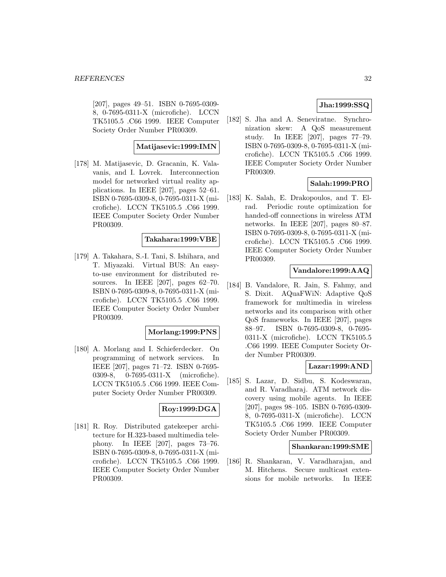[207], pages 49–51. ISBN 0-7695-0309- 8, 0-7695-0311-X (microfiche). LCCN TK5105.5 .C66 1999. IEEE Computer Society Order Number PR00309.

### **Matijasevic:1999:IMN**

[178] M. Matijasevic, D. Gracanin, K. Valavanis, and I. Lovrek. Interconnection model for networked virtual reality applications. In IEEE [207], pages 52–61. ISBN 0-7695-0309-8, 0-7695-0311-X (microfiche). LCCN TK5105.5 .C66 1999. IEEE Computer Society Order Number PR00309.

### **Takahara:1999:VBE**

[179] A. Takahara, S.-I. Tani, S. Ishihara, and T. Miyazaki. Virtual BUS: An easyto-use environment for distributed resources. In IEEE [207], pages 62–70. ISBN 0-7695-0309-8, 0-7695-0311-X (microfiche). LCCN TK5105.5 .C66 1999. IEEE Computer Society Order Number PR00309.

### **Morlang:1999:PNS**

[180] A. Morlang and I. Schieferdecker. On programming of network services. In IEEE [207], pages 71–72. ISBN 0-7695- 0309-8, 0-7695-0311-X (microfiche). LCCN TK5105.5 .C66 1999. IEEE Computer Society Order Number PR00309.

### **Roy:1999:DGA**

[181] R. Roy. Distributed gatekeeper architecture for H.323-based multimedia telephony. In IEEE [207], pages 73–76. ISBN 0-7695-0309-8, 0-7695-0311-X (microfiche). LCCN TK5105.5 .C66 1999. IEEE Computer Society Order Number PR00309.

# **Jha:1999:SSQ**

[182] S. Jha and A. Seneviratne. Synchronization skew: A QoS measurement study. In IEEE [207], pages 77–79. ISBN 0-7695-0309-8, 0-7695-0311-X (microfiche). LCCN TK5105.5 .C66 1999. IEEE Computer Society Order Number PR00309.

# **Salah:1999:PRO**

[183] K. Salah, E. Drakopoulos, and T. Elrad. Periodic route optimization for handed-off connections in wireless ATM networks. In IEEE [207], pages 80–87. ISBN 0-7695-0309-8, 0-7695-0311-X (microfiche). LCCN TK5105.5 .C66 1999. IEEE Computer Society Order Number PR00309.

### **Vandalore:1999:AAQ**

[184] B. Vandalore, R. Jain, S. Fahmy, and S. Dixit. AQuaFWiN: Adaptive QoS framework for multimedia in wireless networks and its comparison with other QoS frameworks. In IEEE [207], pages 88–97. ISBN 0-7695-0309-8, 0-7695- 0311-X (microfiche). LCCN TK5105.5 .C66 1999. IEEE Computer Society Order Number PR00309.

#### **Lazar:1999:AND**

[185] S. Lazar, D. Sidbu, S. Kodeswaran, and R. Varadharaj. ATM network discovery using mobile agents. In IEEE [207], pages 98–105. ISBN 0-7695-0309- 8, 0-7695-0311-X (microfiche). LCCN TK5105.5 .C66 1999. IEEE Computer Society Order Number PR00309.

#### **Shankaran:1999:SME**

[186] R. Shankaran, V. Varadharajan, and M. Hitchens. Secure multicast extensions for mobile networks. In IEEE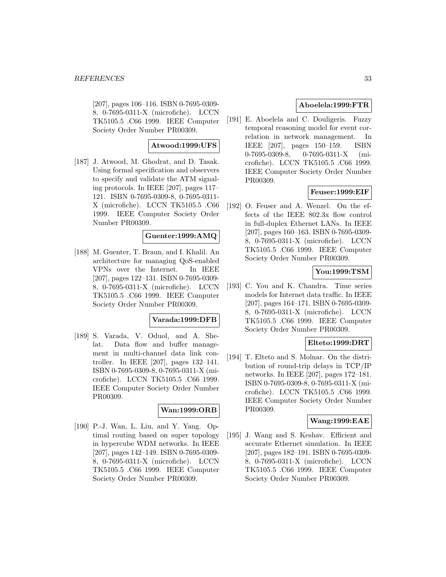[207], pages 106–116. ISBN 0-7695-0309- 8, 0-7695-0311-X (microfiche). LCCN TK5105.5 .C66 1999. IEEE Computer Society Order Number PR00309.

## **Atwood:1999:UFS**

[187] J. Atwood, M. Ghodrat, and D. Tasak. Using formal specification and observers to specify and validate the ATM signaling protocols. In IEEE [207], pages 117– 121. ISBN 0-7695-0309-8, 0-7695-0311- X (microfiche). LCCN TK5105.5 .C66 1999. IEEE Computer Society Order Number PR00309.

### **Guenter:1999:AMQ**

[188] M. Guenter, T. Braun, and I. Khalil. An architecture for managing QoS-enabled VPNs over the Internet. In IEEE [207], pages 122–131. ISBN 0-7695-0309- 8, 0-7695-0311-X (microfiche). LCCN TK5105.5 .C66 1999. IEEE Computer Society Order Number PR00309.

# **Varada:1999:DFB**

[189] S. Varada, V. Oduol, and A. Shelat. Data flow and buffer management in multi-channel data link controller. In IEEE [207], pages 132–141. ISBN 0-7695-0309-8, 0-7695-0311-X (microfiche). LCCN TK5105.5 .C66 1999. IEEE Computer Society Order Number PR00309.

### **Wan:1999:ORB**

[190] P.-J. Wan, L. Liu, and Y. Yang. Optimal routing based on super topology in hypercube WDM networks. In IEEE [207], pages 142–149. ISBN 0-7695-0309- 8, 0-7695-0311-X (microfiche). LCCN TK5105.5 .C66 1999. IEEE Computer Society Order Number PR00309.

### **Aboelela:1999:FTR**

[191] E. Aboelela and C. Douligeris. Fuzzy temporal reasoning model for event correlation in network management. In IEEE [207], pages 150–159. ISBN 0-7695-0309-8, 0-7695-0311-X (microfiche). LCCN TK5105.5 .C66 1999. IEEE Computer Society Order Number PR00309.

# **Feuser:1999:EIF**

[192] O. Feuser and A. Wenzel. On the effects of the IEEE 802.3x flow control in full-duplex Ethernet LANs. In IEEE [207], pages 160–163. ISBN 0-7695-0309- 8, 0-7695-0311-X (microfiche). LCCN TK5105.5 .C66 1999. IEEE Computer Society Order Number PR00309.

# **You:1999:TSM**

[193] C. You and K. Chandra. Time series models for Internet data traffic. In IEEE [207], pages 164–171. ISBN 0-7695-0309- 8, 0-7695-0311-X (microfiche). LCCN TK5105.5 .C66 1999. IEEE Computer Society Order Number PR00309.

### **Elteto:1999:DRT**

[194] T. Elteto and S. Molnar. On the distribution of round-trip delays in TCP/IP networks. In IEEE [207], pages 172–181. ISBN 0-7695-0309-8, 0-7695-0311-X (microfiche). LCCN TK5105.5 .C66 1999. IEEE Computer Society Order Number PR00309.

### **Wang:1999:EAE**

[195] J. Wang and S. Keshav. Efficient and accurate Ethernet simulation. In IEEE [207], pages 182–191. ISBN 0-7695-0309- 8, 0-7695-0311-X (microfiche). LCCN TK5105.5 .C66 1999. IEEE Computer Society Order Number PR00309.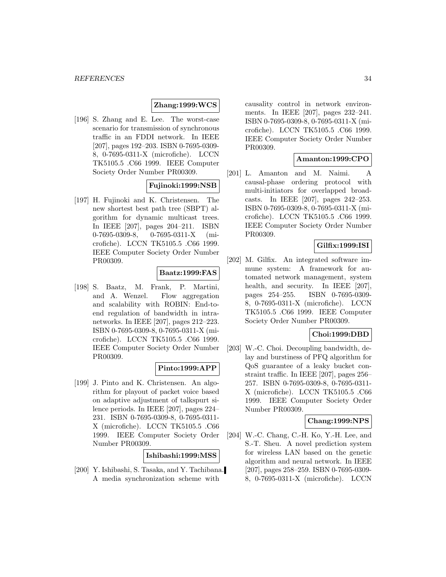### **Zhang:1999:WCS**

[196] S. Zhang and E. Lee. The worst-case scenario for transmission of synchronous traffic in an FDDI network. In IEEE [207], pages 192–203. ISBN 0-7695-0309- 8, 0-7695-0311-X (microfiche). LCCN TK5105.5 .C66 1999. IEEE Computer Society Order Number PR00309.

### **Fujinoki:1999:NSB**

[197] H. Fujinoki and K. Christensen. The new shortest best path tree (SBPT) algorithm for dynamic multicast trees. In IEEE [207], pages 204–211. ISBN 0-7695-0309-8, 0-7695-0311-X (microfiche). LCCN TK5105.5 .C66 1999. IEEE Computer Society Order Number PR00309.

### **Baatz:1999:FAS**

[198] S. Baatz, M. Frank, P. Martini, and A. Wenzel. Flow aggregation and scalability with ROBIN: End-toend regulation of bandwidth in intranetworks. In IEEE [207], pages 212–223. ISBN 0-7695-0309-8, 0-7695-0311-X (microfiche). LCCN TK5105.5 .C66 1999. IEEE Computer Society Order Number PR00309.

## **Pinto:1999:APP**

[199] J. Pinto and K. Christensen. An algorithm for playout of packet voice based on adaptive adjustment of talkspurt silence periods. In IEEE [207], pages 224– 231. ISBN 0-7695-0309-8, 0-7695-0311- X (microfiche). LCCN TK5105.5 .C66 1999. IEEE Computer Society Order Number PR00309.

**Ishibashi:1999:MSS**

[200] Y. Ishibashi, S. Tasaka, and Y. Tachibana. A media synchronization scheme with

causality control in network environments. In IEEE [207], pages 232–241. ISBN 0-7695-0309-8, 0-7695-0311-X (microfiche). LCCN TK5105.5 .C66 1999. IEEE Computer Society Order Number PR00309.

### **Amanton:1999:CPO**

[201] L. Amanton and M. Naimi. A causal-phase ordering protocol with multi-initiators for overlapped broadcasts. In IEEE [207], pages 242–253. ISBN 0-7695-0309-8, 0-7695-0311-X (microfiche). LCCN TK5105.5 .C66 1999. IEEE Computer Society Order Number PR00309.

### **Gilfix:1999:ISI**

[202] M. Gilfix. An integrated software immune system: A framework for automated network management, system health, and security. In IEEE [207], pages 254–255. ISBN 0-7695-0309- 8, 0-7695-0311-X (microfiche). LCCN TK5105.5 .C66 1999. IEEE Computer Society Order Number PR00309.

### **Choi:1999:DBD**

[203] W.-C. Choi. Decoupling bandwidth, delay and burstiness of PFQ algorithm for QoS guarantee of a leaky bucket constraint traffic. In IEEE [207], pages 256– 257. ISBN 0-7695-0309-8, 0-7695-0311- X (microfiche). LCCN TK5105.5 .C66 1999. IEEE Computer Society Order Number PR00309.

### **Chang:1999:NPS**

[204] W.-C. Chang, C.-H. Ko, Y.-H. Lee, and S.-T. Sheu. A novel prediction system for wireless LAN based on the genetic algorithm and neural network. In IEEE [207], pages 258–259. ISBN 0-7695-0309- 8, 0-7695-0311-X (microfiche). LCCN